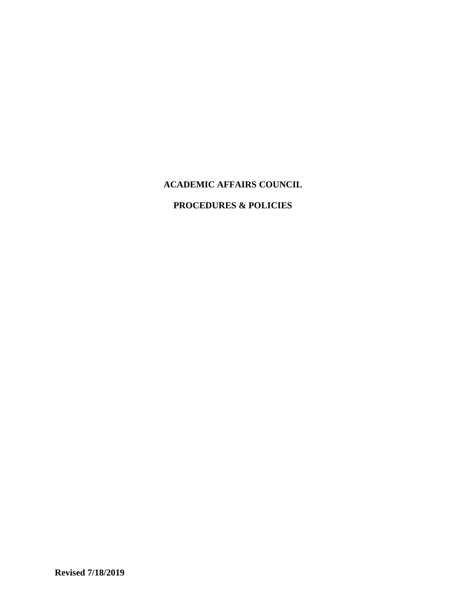# **ACADEMIC AFFAIRS COUNCIL**

## **PROCEDURES & POLICIES**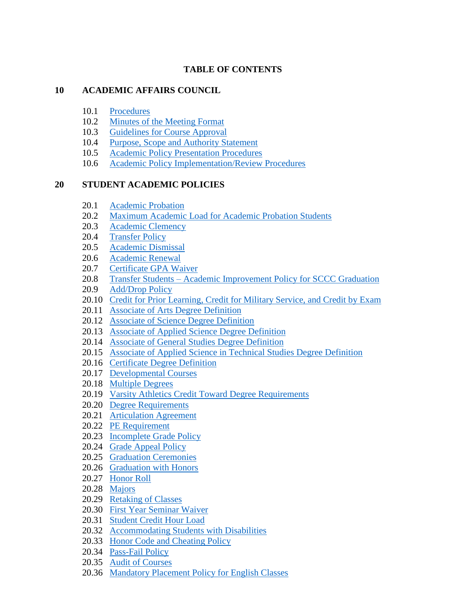# **TABLE OF CONTENTS**

## **10 ACADEMIC AFFAIRS COUNCIL**

- 10.1 [Procedures](#page-2-0)
- 10.2 [Minutes of the Meeting Format](#page-5-0)
- 10.3 [Guidelines for Course Approval](#page-7-0)
- 10.4 [Purpose, Scope and Authority Statement](#page-8-0)
- 10.5 [Academic Policy Presentation Procedures](#page-9-0)
- 10.6 [Academic Policy Implementation/Review Procedures](#page-10-0)

# **20 STUDENT ACADEMIC POLICIES**

- 20.1 [Academic Probation](#page-11-0)
- 20.2 [Maximum Academic Load for Academic Probation Students](#page-12-0)
- 20.3 [Academic Clemency](#page-13-0)
- 20.4 [Transfer Policy](#page-13-1)
- 20.5 [Academic Dismissal](#page-14-0)
- 20.6 [Academic Renewal](#page-16-0)
- 20.7 [Certificate GPA Waiver](#page-17-0)
- 20.8 Transfer Students [Academic Improvement Policy for SCCC Graduation](#page-18-0)
- 20.9 [Add/Drop Policy](#page-19-0)
- 20.10 [Credit for Prior Learning, Credit for Military Service, and Credit by Exam](#page-20-0)
- 20.11 [Associate of Arts Degree Definition](#page-26-0)
- 20.12 [Associate of Science Degree Definition](#page-27-0)
- 20.13 [Associate of Applied Science Degree Definition](#page-27-1)
- 20.14 [Associate of General Studies Degree Definition](#page-28-0)
- 20.15 [Associate of Applied Science in Technical Studies Degree Definition](#page-30-0)
- 20.16 [Certificate Degree Definition](#page-31-0)
- 20.17 [Developmental Courses](#page-32-0)
- 20.18 [Multiple Degrees](#page-33-0)
- 20.19 [Varsity Athletics Credit Toward Degree Requirements](#page-34-0)
- 20.20 [Degree Requirements](#page-35-0)
- 20.21 [Articulation Agreement](#page-36-0)
- 20.22 [PE Requirement](#page-44-0)
- 20.23 [Incomplete Grade Policy](#page-45-0)
- 20.24 [Grade Appeal Policy](#page-46-0)
- 20.25 [Graduation Ceremonies](#page-47-0)
- 20.26 [Graduation with Honors](#page-48-0)
- 20.27 [Honor Roll](#page-49-0)
- 20.28 [Majors](#page-50-0)
- 20.29 [Retaking of Classes](#page-51-0)
- 20.30 [First Year Seminar Waiver](#page-52-0)
- 20.31 [Student Credit Hour Load](#page-53-0)
- 20.32 [Accommodating Students with Disabilities](#page-54-0)
- 20.33 [Honor Code and Cheating Policy](#page-55-0)
- 20.34 [Pass-Fail Policy](#page-57-0)
- 20.35 [Audit of Courses](#page-58-0)
- 20.36 [Mandatory Placement Policy for English Classes](#page-58-1)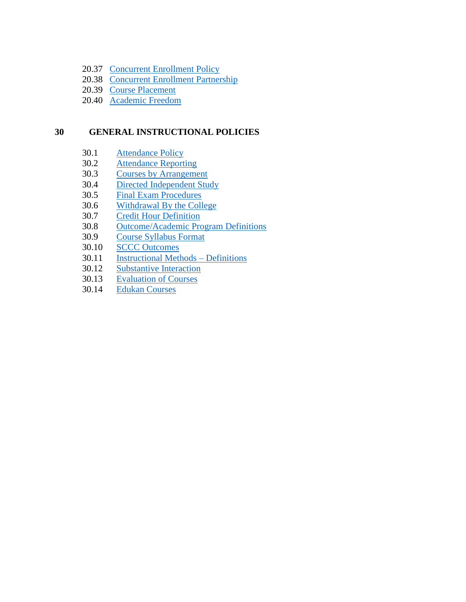- 20.37 [Concurrent Enrollment Policy](#page-61-0)
- 20.38 [Concurrent Enrollment Partnership](#page-62-0)
- 20.39 [Course Placement](#page-64-0)
- 20.40 [Academic Freedom](#page-66-0)

# **30 GENERAL INSTRUCTIONAL POLICIES**

- 30.1 [Attendance Policy](#page-66-0)
- 30.2 [Attendance Reporting](#page-69-0)
- 30.3 [Courses by Arrangement](#page-70-0)
- 30.4 [Directed Independent Study](#page-71-0)
- 30.5 [Final Exam Procedures](#page-73-0)
- 30.6 [Withdrawal By the College](#page-74-0)
- 30.7 [Credit Hour Definition](#page-75-0)
- 30.8 [Outcome/Academic Program Definitions](#page-79-0)
- 30.9 [Course Syllabus Format](#page-80-0)
- 30.10 [SCCC Outcomes](#page-82-0)
- 30.11 [Instructional Methods –](#page-83-0) Definitions
- 30.12 [Substantive Interaction](#page-84-0)<br>30.13 Evaluation of Courses
- **[Evaluation of Courses](#page-85-0)**
- <span id="page-2-0"></span>30.14 [Edukan Courses](#page-85-1)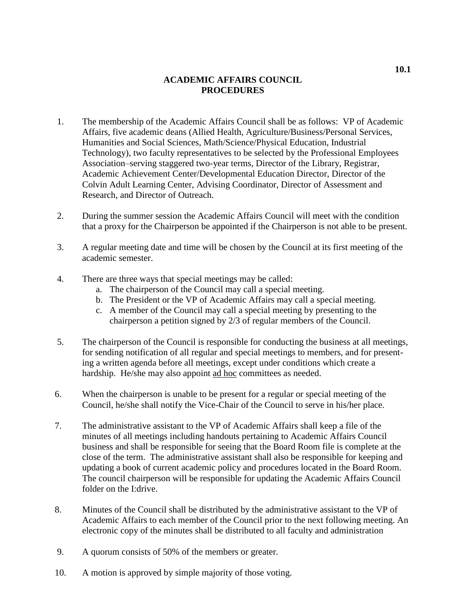## **ACADEMIC AFFAIRS COUNCIL PROCEDURES**

- 1. The membership of the Academic Affairs Council shall be as follows: VP of Academic Affairs, five academic deans (Allied Health, Agriculture/Business/Personal Services, Humanities and Social Sciences, Math/Science/Physical Education, Industrial Technology), two faculty representatives to be selected by the Professional Employees Association–serving staggered two-year terms, Director of the Library, Registrar, Academic Achievement Center/Developmental Education Director, Director of the Colvin Adult Learning Center, Advising Coordinator, Director of Assessment and Research, and Director of Outreach.
- 2. During the summer session the Academic Affairs Council will meet with the condition that a proxy for the Chairperson be appointed if the Chairperson is not able to be present.
- 3. A regular meeting date and time will be chosen by the Council at its first meeting of the academic semester.
- 4. There are three ways that special meetings may be called:
	- a. The chairperson of the Council may call a special meeting.
	- b. The President or the VP of Academic Affairs may call a special meeting.
	- c. A member of the Council may call a special meeting by presenting to the chairperson a petition signed by 2/3 of regular members of the Council.
- 5. The chairperson of the Council is responsible for conducting the business at all meetings, for sending notification of all regular and special meetings to members, and for presenting a written agenda before all meetings, except under conditions which create a hardship. He/she may also appoint ad hoc committees as needed.
- 6. When the chairperson is unable to be present for a regular or special meeting of the Council, he/she shall notify the Vice-Chair of the Council to serve in his/her place.
- 7. The administrative assistant to the VP of Academic Affairs shall keep a file of the minutes of all meetings including handouts pertaining to Academic Affairs Council business and shall be responsible for seeing that the Board Room file is complete at the close of the term. The administrative assistant shall also be responsible for keeping and updating a book of current academic policy and procedures located in the Board Room. The council chairperson will be responsible for updating the Academic Affairs Council folder on the I:drive.
- 8. Minutes of the Council shall be distributed by the administrative assistant to the VP of Academic Affairs to each member of the Council prior to the next following meeting. An electronic copy of the minutes shall be distributed to all faculty and administration
- 9. A quorum consists of 50% of the members or greater.
- 10. A motion is approved by simple majority of those voting.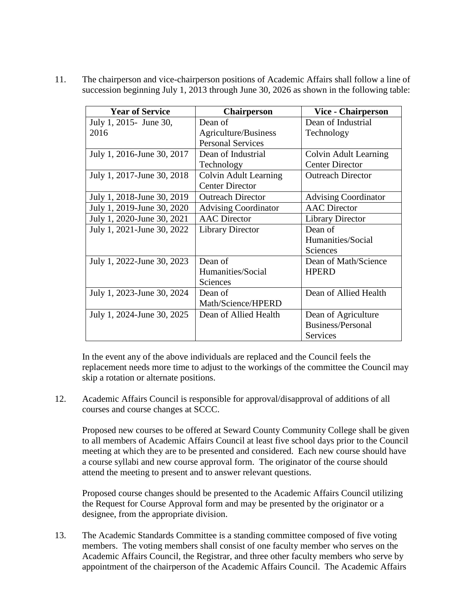11. The chairperson and vice-chairperson positions of Academic Affairs shall follow a line of succession beginning July 1, 2013 through June 30, 2026 as shown in the following table:

| <b>Year of Service</b>     | <b>Chairperson</b>           | <b>Vice - Chairperson</b>   |
|----------------------------|------------------------------|-----------------------------|
| July 1, 2015 - June 30,    | Dean of                      | Dean of Industrial          |
| 2016                       | Agriculture/Business         | Technology                  |
|                            | <b>Personal Services</b>     |                             |
| July 1, 2016-June 30, 2017 | Dean of Industrial           | Colvin Adult Learning       |
|                            | Technology                   | <b>Center Director</b>      |
| July 1, 2017-June 30, 2018 | <b>Colvin Adult Learning</b> | <b>Outreach Director</b>    |
|                            | <b>Center Director</b>       |                             |
| July 1, 2018-June 30, 2019 | <b>Outreach Director</b>     | <b>Advising Coordinator</b> |
| July 1, 2019-June 30, 2020 | <b>Advising Coordinator</b>  | <b>AAC</b> Director         |
| July 1, 2020-June 30, 2021 | <b>AAC</b> Director          | <b>Library Director</b>     |
| July 1, 2021-June 30, 2022 | <b>Library Director</b>      | Dean of                     |
|                            |                              | Humanities/Social           |
|                            |                              | Sciences                    |
| July 1, 2022-June 30, 2023 | Dean of                      | Dean of Math/Science        |
|                            | Humanities/Social            | <b>HPERD</b>                |
|                            | <b>Sciences</b>              |                             |
| July 1, 2023-June 30, 2024 | Dean of                      | Dean of Allied Health       |
|                            | Math/Science/HPERD           |                             |
| July 1, 2024-June 30, 2025 | Dean of Allied Health        | Dean of Agriculture         |
|                            |                              | Business/Personal           |
|                            |                              | Services                    |

In the event any of the above individuals are replaced and the Council feels the replacement needs more time to adjust to the workings of the committee the Council may skip a rotation or alternate positions.

12. Academic Affairs Council is responsible for approval/disapproval of additions of all courses and course changes at SCCC.

Proposed new courses to be offered at Seward County Community College shall be given to all members of Academic Affairs Council at least five school days prior to the Council meeting at which they are to be presented and considered. Each new course should have a course syllabi and new course approval form. The originator of the course should attend the meeting to present and to answer relevant questions.

Proposed course changes should be presented to the Academic Affairs Council utilizing the Request for Course Approval form and may be presented by the originator or a designee, from the appropriate division.

13. The Academic Standards Committee is a standing committee composed of five voting members. The voting members shall consist of one faculty member who serves on the Academic Affairs Council, the Registrar, and three other faculty members who serve by appointment of the chairperson of the Academic Affairs Council. The Academic Affairs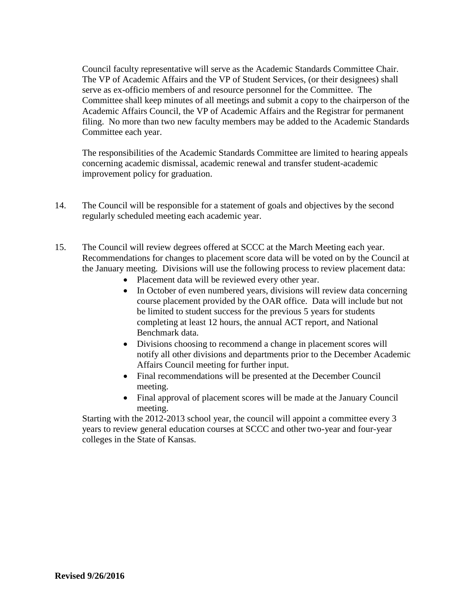Council faculty representative will serve as the Academic Standards Committee Chair. The VP of Academic Affairs and the VP of Student Services, (or their designees) shall serve as ex-officio members of and resource personnel for the Committee. The Committee shall keep minutes of all meetings and submit a copy to the chairperson of the Academic Affairs Council, the VP of Academic Affairs and the Registrar for permanent filing. No more than two new faculty members may be added to the Academic Standards Committee each year.

The responsibilities of the Academic Standards Committee are limited to hearing appeals concerning academic dismissal, academic renewal and transfer student-academic improvement policy for graduation.

- 14. The Council will be responsible for a statement of goals and objectives by the second regularly scheduled meeting each academic year.
- 15. The Council will review degrees offered at SCCC at the March Meeting each year. Recommendations for changes to placement score data will be voted on by the Council at the January meeting. Divisions will use the following process to review placement data:
	- Placement data will be reviewed every other year.
	- In October of even numbered years, divisions will review data concerning course placement provided by the OAR office. Data will include but not be limited to student success for the previous 5 years for students completing at least 12 hours, the annual ACT report, and National Benchmark data.
	- Divisions choosing to recommend a change in placement scores will notify all other divisions and departments prior to the December Academic Affairs Council meeting for further input.
	- Final recommendations will be presented at the December Council meeting.
	- Final approval of placement scores will be made at the January Council meeting.

<span id="page-5-0"></span>Starting with the 2012-2013 school year, the council will appoint a committee every 3 years to review general education courses at SCCC and other two-year and four-year colleges in the State of Kansas.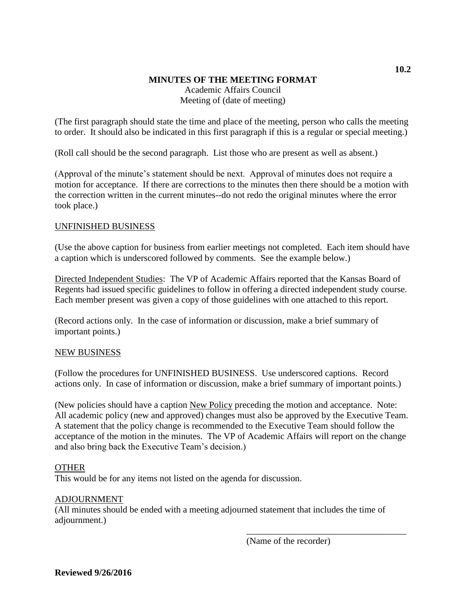# **MINUTES OF THE MEETING FORMAT** Academic Affairs Council Meeting of (date of meeting)

(The first paragraph should state the time and place of the meeting, person who calls the meeting to order. It should also be indicated in this first paragraph if this is a regular or special meeting.)

(Roll call should be the second paragraph. List those who are present as well as absent.)

(Approval of the minute's statement should be next. Approval of minutes does not require a motion for acceptance. If there are corrections to the minutes then there should be a motion with the correction written in the current minutes--do not redo the original minutes where the error took place.)

## UNFINISHED BUSINESS

(Use the above caption for business from earlier meetings not completed. Each item should have a caption which is underscored followed by comments. See the example below.)

Directed Independent Studies: The VP of Academic Affairs reported that the Kansas Board of Regents had issued specific guidelines to follow in offering a directed independent study course. Each member present was given a copy of those guidelines with one attached to this report.

(Record actions only. In the case of information or discussion, make a brief summary of important points.)

## NEW BUSINESS

(Follow the procedures for UNFINISHED BUSINESS. Use underscored captions. Record actions only. In case of information or discussion, make a brief summary of important points.)

(New policies should have a caption New Policy preceding the motion and acceptance. Note: All academic policy (new and approved) changes must also be approved by the Executive Team. A statement that the policy change is recommended to the Executive Team should follow the acceptance of the motion in the minutes. The VP of Academic Affairs will report on the change and also bring back the Executive Team's decision.)

## OTHER

This would be for any items not listed on the agenda for discussion.

## ADJOURNMENT

(All minutes should be ended with a meeting adjourned statement that includes the time of adjournment.)

(Name of the recorder)

\_\_\_\_\_\_\_\_\_\_\_\_\_\_\_\_\_\_\_\_\_\_\_\_\_\_\_\_\_\_\_\_\_\_\_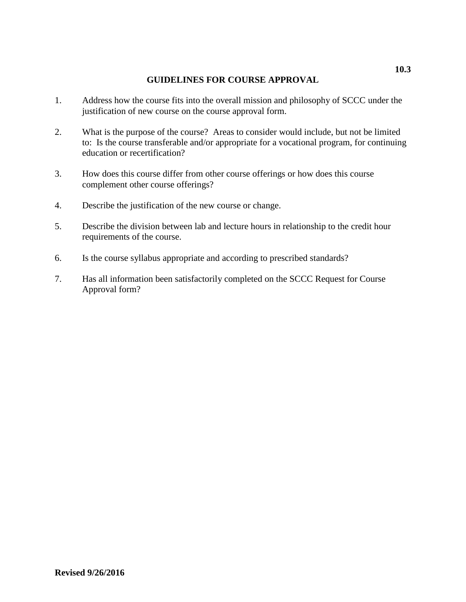## **GUIDELINES FOR COURSE APPROVAL**

- <span id="page-7-0"></span>1. Address how the course fits into the overall mission and philosophy of SCCC under the justification of new course on the course approval form.
- 2. What is the purpose of the course? Areas to consider would include, but not be limited to: Is the course transferable and/or appropriate for a vocational program, for continuing education or recertification?
- 3. How does this course differ from other course offerings or how does this course complement other course offerings?
- 4. Describe the justification of the new course or change.
- 5. Describe the division between lab and lecture hours in relationship to the credit hour requirements of the course.
- 6. Is the course syllabus appropriate and according to prescribed standards?
- 7. Has all information been satisfactorily completed on the SCCC Request for Course Approval form?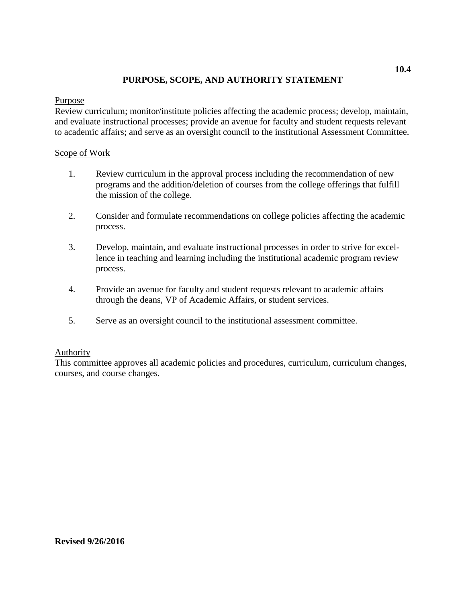## **PURPOSE, SCOPE, AND AUTHORITY STATEMENT**

### <span id="page-8-0"></span>Purpose

Review curriculum; monitor/institute policies affecting the academic process; develop, maintain, and evaluate instructional processes; provide an avenue for faculty and student requests relevant to academic affairs; and serve as an oversight council to the institutional Assessment Committee.

## Scope of Work

- 1. Review curriculum in the approval process including the recommendation of new programs and the addition/deletion of courses from the college offerings that fulfill the mission of the college.
- 2. Consider and formulate recommendations on college policies affecting the academic process.
- 3. Develop, maintain, and evaluate instructional processes in order to strive for excellence in teaching and learning including the institutional academic program review process.
- 4. Provide an avenue for faculty and student requests relevant to academic affairs through the deans, VP of Academic Affairs, or student services.
- 5. Serve as an oversight council to the institutional assessment committee.

## Authority

This committee approves all academic policies and procedures, curriculum, curriculum changes, courses, and course changes.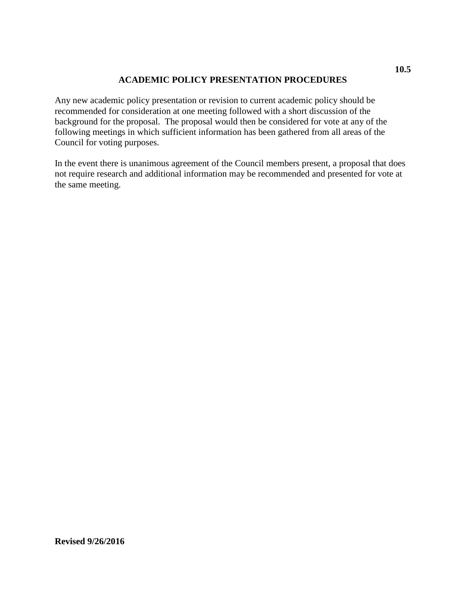## **ACADEMIC POLICY PRESENTATION PROCEDURES**

<span id="page-9-0"></span>Any new academic policy presentation or revision to current academic policy should be recommended for consideration at one meeting followed with a short discussion of the background for the proposal. The proposal would then be considered for vote at any of the following meetings in which sufficient information has been gathered from all areas of the Council for voting purposes.

In the event there is unanimous agreement of the Council members present, a proposal that does not require research and additional information may be recommended and presented for vote at the same meeting.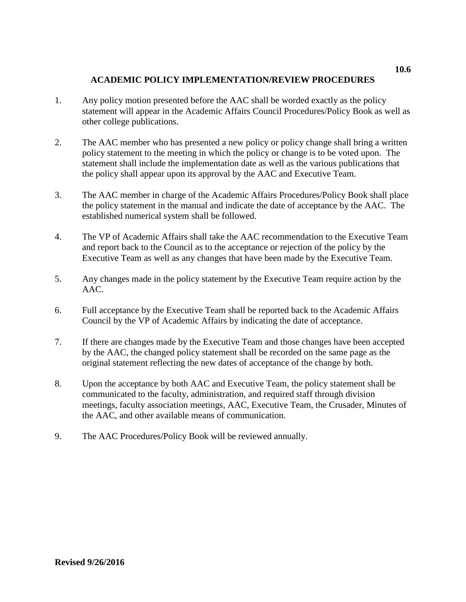## **ACADEMIC POLICY IMPLEMENTATION/REVIEW PROCEDURES**

- <span id="page-10-0"></span>1. Any policy motion presented before the AAC shall be worded exactly as the policy statement will appear in the Academic Affairs Council Procedures/Policy Book as well as other college publications.
- 2. The AAC member who has presented a new policy or policy change shall bring a written policy statement to the meeting in which the policy or change is to be voted upon. The statement shall include the implementation date as well as the various publications that the policy shall appear upon its approval by the AAC and Executive Team.
- 3. The AAC member in charge of the Academic Affairs Procedures/Policy Book shall place the policy statement in the manual and indicate the date of acceptance by the AAC. The established numerical system shall be followed.
- 4. The VP of Academic Affairs shall take the AAC recommendation to the Executive Team and report back to the Council as to the acceptance or rejection of the policy by the Executive Team as well as any changes that have been made by the Executive Team.
- 5. Any changes made in the policy statement by the Executive Team require action by the AAC.
- 6. Full acceptance by the Executive Team shall be reported back to the Academic Affairs Council by the VP of Academic Affairs by indicating the date of acceptance.
- 7. If there are changes made by the Executive Team and those changes have been accepted by the AAC, the changed policy statement shall be recorded on the same page as the original statement reflecting the new dates of acceptance of the change by both.
- 8. Upon the acceptance by both AAC and Executive Team, the policy statement shall be communicated to the faculty, administration, and required staff through division meetings, faculty association meetings, AAC, Executive Team, the Crusader, Minutes of the AAC, and other available means of communication.
- 9. The AAC Procedures/Policy Book will be reviewed annually.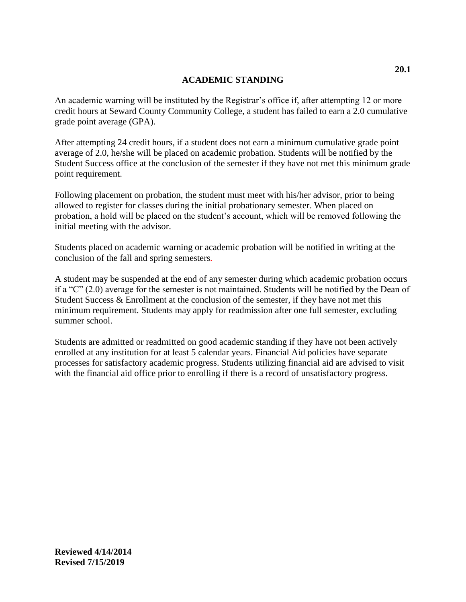## **ACADEMIC STANDING**

<span id="page-11-0"></span>An academic warning will be instituted by the Registrar's office if, after attempting 12 or more credit hours at Seward County Community College, a student has failed to earn a 2.0 cumulative grade point average (GPA).

After attempting 24 credit hours, if a student does not earn a minimum cumulative grade point average of 2.0, he/she will be placed on academic probation. Students will be notified by the Student Success office at the conclusion of the semester if they have not met this minimum grade point requirement.

Following placement on probation, the student must meet with his/her advisor, prior to being allowed to register for classes during the initial probationary semester. When placed on probation, a hold will be placed on the student's account, which will be removed following the initial meeting with the advisor.

Students placed on academic warning or academic probation will be notified in writing at the conclusion of the fall and spring semesters*.* 

A student may be suspended at the end of any semester during which academic probation occurs if a "C" (2.0) average for the semester is not maintained. Students will be notified by the Dean of Student Success & Enrollment at the conclusion of the semester, if they have not met this minimum requirement. Students may apply for readmission after one full semester, excluding summer school.

Students are admitted or readmitted on good academic standing if they have not been actively enrolled at any institution for at least 5 calendar years. Financial Aid policies have separate processes for satisfactory academic progress. Students utilizing financial aid are advised to visit with the financial aid office prior to enrolling if there is a record of unsatisfactory progress.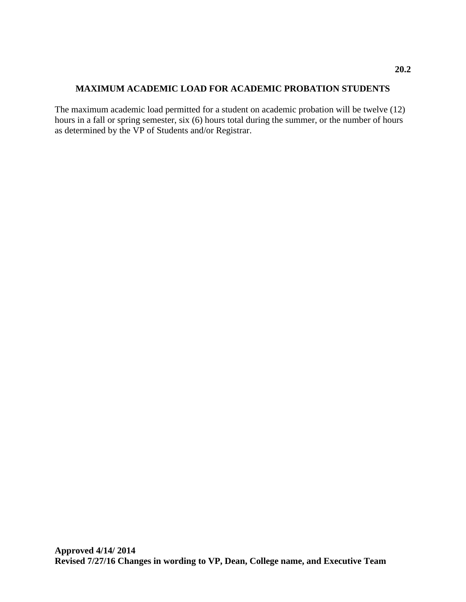## <span id="page-12-0"></span>**MAXIMUM ACADEMIC LOAD FOR ACADEMIC PROBATION STUDENTS**

The maximum academic load permitted for a student on academic probation will be twelve (12) hours in a fall or spring semester, six (6) hours total during the summer, or the number of hours as determined by the VP of Students and/or Registrar.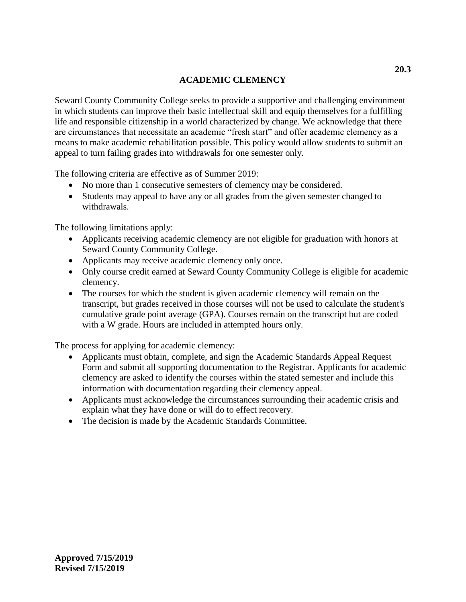# <span id="page-13-1"></span>**ACADEMIC CLEMENCY**

<span id="page-13-0"></span>Seward County Community College seeks to provide a supportive and challenging environment in which students can improve their basic intellectual skill and equip themselves for a fulfilling life and responsible citizenship in a world characterized by change. We acknowledge that there are circumstances that necessitate an academic "fresh start" and offer academic clemency as a means to make academic rehabilitation possible. This policy would allow students to submit an appeal to turn failing grades into withdrawals for one semester only.

The following criteria are effective as of Summer 2019:

- No more than 1 consecutive semesters of clemency may be considered.
- Students may appeal to have any or all grades from the given semester changed to withdrawals.

The following limitations apply:

- Applicants receiving academic clemency are not eligible for graduation with honors at Seward County Community College.
- Applicants may receive academic clemency only once.
- Only course credit earned at Seward County Community College is eligible for academic clemency.
- The courses for which the student is given academic clemency will remain on the transcript, but grades received in those courses will not be used to calculate the student's cumulative grade point average (GPA). Courses remain on the transcript but are coded with a W grade. Hours are included in attempted hours only.

The process for applying for academic clemency:

- Applicants must obtain, complete, and sign the Academic Standards Appeal Request Form and submit all supporting documentation to the Registrar. Applicants for academic clemency are asked to identify the courses within the stated semester and include this information with documentation regarding their clemency appeal.
- Applicants must acknowledge the circumstances surrounding their academic crisis and explain what they have done or will do to effect recovery.
- The decision is made by the Academic Standards Committee.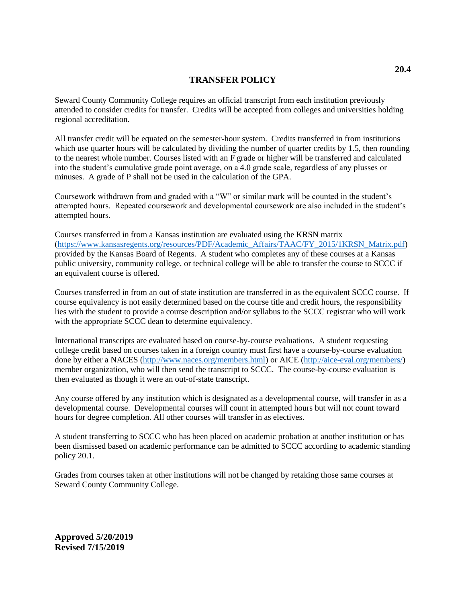### **TRANSFER POLICY**

Seward County Community College requires an official transcript from each institution previously attended to consider credits for transfer. Credits will be accepted from colleges and universities holding regional accreditation.

All transfer credit will be equated on the semester-hour system. Credits transferred in from institutions which use quarter hours will be calculated by dividing the number of quarter credits by 1.5, then rounding to the nearest whole number. Courses listed with an F grade or higher will be transferred and calculated into the student's cumulative grade point average, on a 4.0 grade scale, regardless of any plusses or minuses. A grade of P shall not be used in the calculation of the GPA.

Coursework withdrawn from and graded with a "W" or similar mark will be counted in the student's attempted hours. Repeated coursework and developmental coursework are also included in the student's attempted hours.

Courses transferred in from a Kansas institution are evaluated using the KRSN matrix [\(https://www.kansasregents.org/resources/PDF/Academic\\_Affairs/TAAC/FY\\_2015/1KRSN\\_Matrix.pdf\)](https://www.kansasregents.org/resources/PDF/Academic_Affairs/TAAC/FY_2015/1KRSN_Matrix.pdf) provided by the Kansas Board of Regents. A student who completes any of these courses at a Kansas public university, community college, or technical college will be able to transfer the course to SCCC if an equivalent course is offered.

Courses transferred in from an out of state institution are transferred in as the equivalent SCCC course. If course equivalency is not easily determined based on the course title and credit hours, the responsibility lies with the student to provide a course description and/or syllabus to the SCCC registrar who will work with the appropriate SCCC dean to determine equivalency.

International transcripts are evaluated based on course-by-course evaluations. A student requesting college credit based on courses taken in a foreign country must first have a course-by-course evaluation done by either a NACES [\(http://www.naces.org/members.html\)](http://www.naces.org/members.html) or AICE [\(http://aice-eval.org/members/\)](http://aice-eval.org/members/) member organization, who will then send the transcript to SCCC. The course-by-course evaluation is then evaluated as though it were an out-of-state transcript.

Any course offered by any institution which is designated as a developmental course, will transfer in as a developmental course. Developmental courses will count in attempted hours but will not count toward hours for degree completion. All other courses will transfer in as electives.

A student transferring to SCCC who has been placed on academic probation at another institution or has been dismissed based on academic performance can be admitted to SCCC according to academic standing policy 20.1.

Grades from courses taken at other institutions will not be changed by retaking those same courses at Seward County Community College.

<span id="page-14-0"></span>**Approved 5/20/2019 Revised 7/15/2019**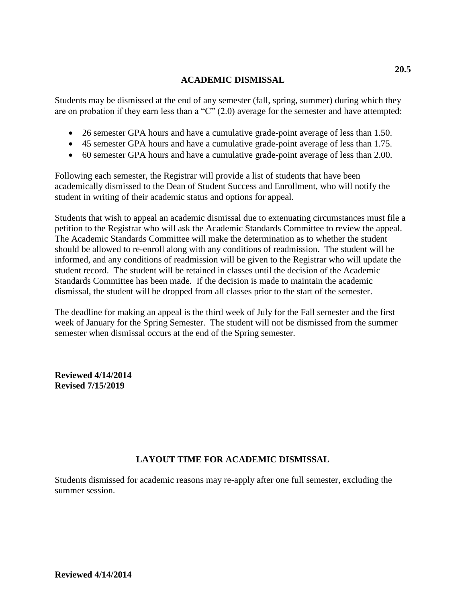## **ACADEMIC DISMISSAL**

Students may be dismissed at the end of any semester (fall, spring, summer) during which they are on probation if they earn less than a "C" (2.0) average for the semester and have attempted:

- 26 semester GPA hours and have a cumulative grade-point average of less than 1.50.
- 45 semester GPA hours and have a cumulative grade-point average of less than 1.75.
- 60 semester GPA hours and have a cumulative grade-point average of less than 2.00.

Following each semester, the Registrar will provide a list of students that have been academically dismissed to the Dean of Student Success and Enrollment, who will notify the student in writing of their academic status and options for appeal.

Students that wish to appeal an academic dismissal due to extenuating circumstances must file a petition to the Registrar who will ask the Academic Standards Committee to review the appeal. The Academic Standards Committee will make the determination as to whether the student should be allowed to re-enroll along with any conditions of readmission. The student will be informed, and any conditions of readmission will be given to the Registrar who will update the student record. The student will be retained in classes until the decision of the Academic Standards Committee has been made. If the decision is made to maintain the academic dismissal, the student will be dropped from all classes prior to the start of the semester.

The deadline for making an appeal is the third week of July for the Fall semester and the first week of January for the Spring Semester. The student will not be dismissed from the summer semester when dismissal occurs at the end of the Spring semester.

**Reviewed 4/14/2014 Revised 7/15/2019**

## **LAYOUT TIME FOR ACADEMIC DISMISSAL**

Students dismissed for academic reasons may re-apply after one full semester, excluding the summer session.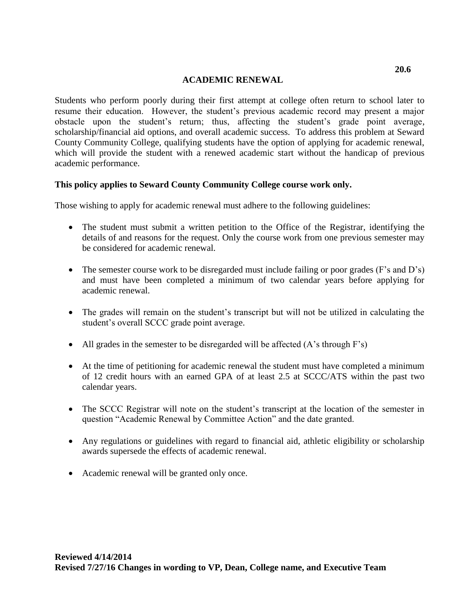## **ACADEMIC RENEWAL**

<span id="page-16-0"></span>Students who perform poorly during their first attempt at college often return to school later to resume their education. However, the student's previous academic record may present a major obstacle upon the student's return; thus, affecting the student's grade point average, scholarship/financial aid options, and overall academic success. To address this problem at Seward County Community College, qualifying students have the option of applying for academic renewal, which will provide the student with a renewed academic start without the handicap of previous academic performance.

## **This policy applies to Seward County Community College course work only.**

Those wishing to apply for academic renewal must adhere to the following guidelines:

- The student must submit a written petition to the Office of the Registrar, identifying the details of and reasons for the request. Only the course work from one previous semester may be considered for academic renewal.
- The semester course work to be disregarded must include failing or poor grades (F's and D's) and must have been completed a minimum of two calendar years before applying for academic renewal.
- The grades will remain on the student's transcript but will not be utilized in calculating the student's overall SCCC grade point average.
- All grades in the semester to be disregarded will be affected  $(A\text{'s through F's})$
- At the time of petitioning for academic renewal the student must have completed a minimum of 12 credit hours with an earned GPA of at least 2.5 at SCCC/ATS within the past two calendar years.
- The SCCC Registrar will note on the student's transcript at the location of the semester in question "Academic Renewal by Committee Action" and the date granted.
- Any regulations or guidelines with regard to financial aid, athletic eligibility or scholarship awards supersede the effects of academic renewal.
- Academic renewal will be granted only once.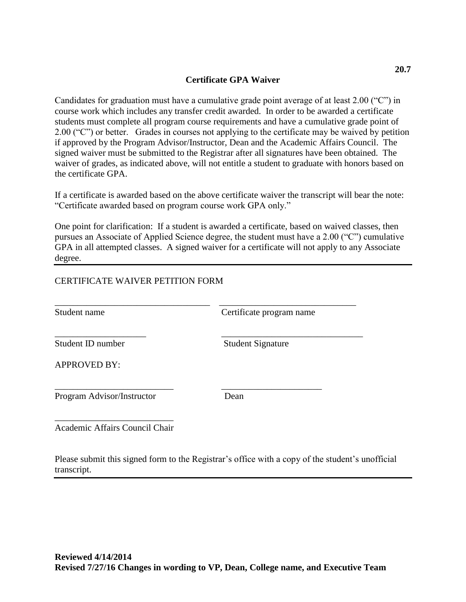## **Certificate GPA Waiver**

<span id="page-17-0"></span>Candidates for graduation must have a cumulative grade point average of at least 2.00 ("C") in course work which includes any transfer credit awarded. In order to be awarded a certificate students must complete all program course requirements and have a cumulative grade point of 2.00 ("C") or better. Grades in courses not applying to the certificate may be waived by petition if approved by the Program Advisor/Instructor, Dean and the Academic Affairs Council. The signed waiver must be submitted to the Registrar after all signatures have been obtained. The waiver of grades, as indicated above, will not entitle a student to graduate with honors based on the certificate GPA.

If a certificate is awarded based on the above certificate waiver the transcript will bear the note: "Certificate awarded based on program course work GPA only."

One point for clarification: If a student is awarded a certificate, based on waived classes, then pursues an Associate of Applied Science degree, the student must have a 2.00 ("C") cumulative GPA in all attempted classes. A signed waiver for a certificate will not apply to any Associate degree.

## CERTIFICATE WAIVER PETITION FORM

| Student name               | Certificate program name |
|----------------------------|--------------------------|
| Student ID number          | <b>Student Signature</b> |
| <b>APPROVED BY:</b>        |                          |
| Program Advisor/Instructor | Dean                     |

Academic Affairs Council Chair

Please submit this signed form to the Registrar's office with a copy of the student's unofficial transcript.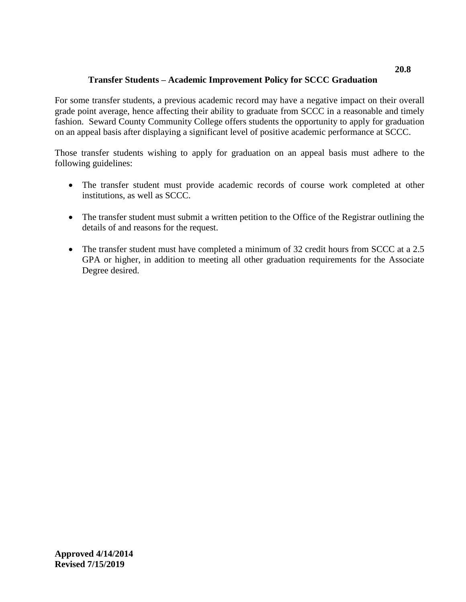# **Transfer Students – Academic Improvement Policy for SCCC Graduation**

<span id="page-18-0"></span>For some transfer students, a previous academic record may have a negative impact on their overall grade point average, hence affecting their ability to graduate from SCCC in a reasonable and timely fashion. Seward County Community College offers students the opportunity to apply for graduation on an appeal basis after displaying a significant level of positive academic performance at SCCC.

Those transfer students wishing to apply for graduation on an appeal basis must adhere to the following guidelines:

- The transfer student must provide academic records of course work completed at other institutions, as well as SCCC.
- The transfer student must submit a written petition to the Office of the Registrar outlining the details of and reasons for the request.
- The transfer student must have completed a minimum of 32 credit hours from SCCC at a 2.5 GPA or higher, in addition to meeting all other graduation requirements for the Associate Degree desired.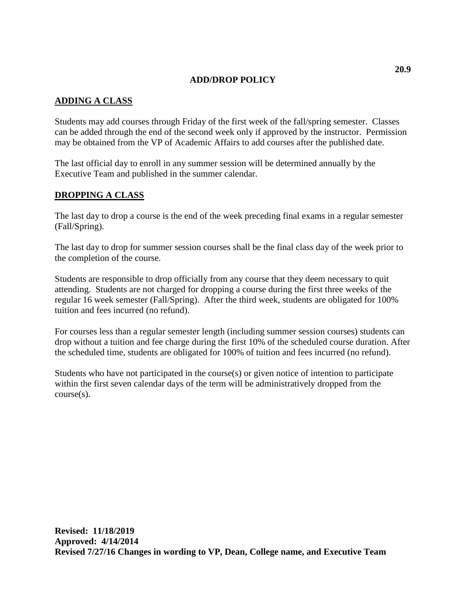## **ADD/DROP POLICY**

## <span id="page-19-0"></span>**ADDING A CLASS**

Students may add courses through Friday of the first week of the fall/spring semester. Classes can be added through the end of the second week only if approved by the instructor. Permission may be obtained from the VP of Academic Affairs to add courses after the published date.

The last official day to enroll in any summer session will be determined annually by the Executive Team and published in the summer calendar.

## **DROPPING A CLASS**

The last day to drop a course is the end of the week preceding final exams in a regular semester (Fall/Spring).

The last day to drop for summer session courses shall be the final class day of the week prior to the completion of the course.

Students are responsible to drop officially from any course that they deem necessary to quit attending. Students are not charged for dropping a course during the first three weeks of the regular 16 week semester (Fall/Spring). After the third week, students are obligated for 100% tuition and fees incurred (no refund).

For courses less than a regular semester length (including summer session courses) students can drop without a tuition and fee charge during the first 10% of the scheduled course duration. After the scheduled time, students are obligated for 100% of tuition and fees incurred (no refund).

Students who have not participated in the course(s) or given notice of intention to participate within the first seven calendar days of the term will be administratively dropped from the course(s).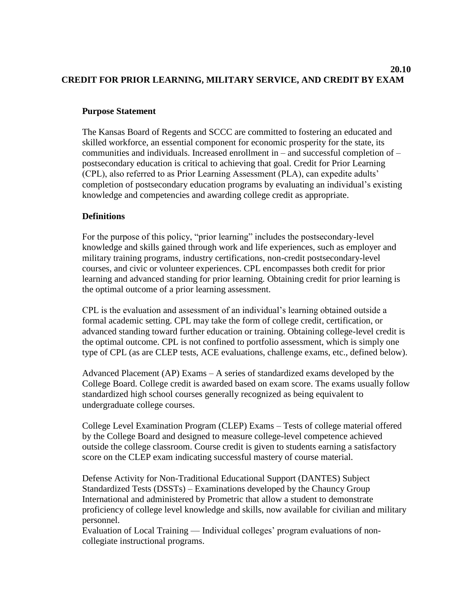#### <span id="page-20-0"></span>**20.10 CREDIT FOR PRIOR LEARNING, MILITARY SERVICE, AND CREDIT BY EXAM**

## **Purpose Statement**

The Kansas Board of Regents and SCCC are committed to fostering an educated and skilled workforce, an essential component for economic prosperity for the state, its communities and individuals. Increased enrollment in – and successful completion of – postsecondary education is critical to achieving that goal. Credit for Prior Learning (CPL), also referred to as Prior Learning Assessment (PLA), can expedite adults' completion of postsecondary education programs by evaluating an individual's existing knowledge and competencies and awarding college credit as appropriate.

## **Definitions**

For the purpose of this policy, "prior learning" includes the postsecondary-level knowledge and skills gained through work and life experiences, such as employer and military training programs, industry certifications, non-credit postsecondary-level courses, and civic or volunteer experiences. CPL encompasses both credit for prior learning and advanced standing for prior learning. Obtaining credit for prior learning is the optimal outcome of a prior learning assessment.

CPL is the evaluation and assessment of an individual's learning obtained outside a formal academic setting. CPL may take the form of college credit, certification, or advanced standing toward further education or training. Obtaining college-level credit is the optimal outcome. CPL is not confined to portfolio assessment, which is simply one type of CPL (as are CLEP tests, ACE evaluations, challenge exams, etc., defined below).

Advanced Placement (AP) Exams – A series of standardized exams developed by the College Board. College credit is awarded based on exam score. The exams usually follow standardized high school courses generally recognized as being equivalent to undergraduate college courses.

College Level Examination Program (CLEP) Exams – Tests of college material offered by the College Board and designed to measure college-level competence achieved outside the college classroom. Course credit is given to students earning a satisfactory score on the CLEP exam indicating successful mastery of course material.

Defense Activity for Non-Traditional Educational Support (DANTES) Subject Standardized Tests (DSSTs) – Examinations developed by the Chauncy Group International and administered by Prometric that allow a student to demonstrate proficiency of college level knowledge and skills, now available for civilian and military personnel.

Evaluation of Local Training — Individual colleges' program evaluations of noncollegiate instructional programs.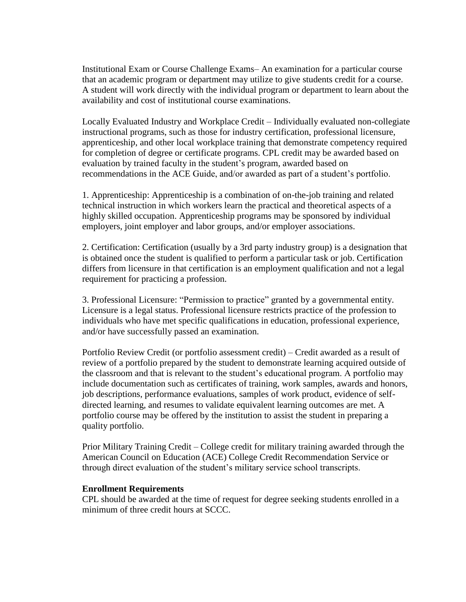Institutional Exam or Course Challenge Exams– An examination for a particular course that an academic program or department may utilize to give students credit for a course. A student will work directly with the individual program or department to learn about the availability and cost of institutional course examinations.

Locally Evaluated Industry and Workplace Credit – Individually evaluated non-collegiate instructional programs, such as those for industry certification, professional licensure, apprenticeship, and other local workplace training that demonstrate competency required for completion of degree or certificate programs. CPL credit may be awarded based on evaluation by trained faculty in the student's program, awarded based on recommendations in the ACE Guide, and/or awarded as part of a student's portfolio.

1. Apprenticeship: Apprenticeship is a combination of on-the-job training and related technical instruction in which workers learn the practical and theoretical aspects of a highly skilled occupation. Apprenticeship programs may be sponsored by individual employers, joint employer and labor groups, and/or employer associations.

2. Certification: Certification (usually by a 3rd party industry group) is a designation that is obtained once the student is qualified to perform a particular task or job. Certification differs from licensure in that certification is an employment qualification and not a legal requirement for practicing a profession.

3. Professional Licensure: "Permission to practice" granted by a governmental entity. Licensure is a legal status. Professional licensure restricts practice of the profession to individuals who have met specific qualifications in education, professional experience, and/or have successfully passed an examination.

Portfolio Review Credit (or portfolio assessment credit) – Credit awarded as a result of review of a portfolio prepared by the student to demonstrate learning acquired outside of the classroom and that is relevant to the student's educational program. A portfolio may include documentation such as certificates of training, work samples, awards and honors, job descriptions, performance evaluations, samples of work product, evidence of selfdirected learning, and resumes to validate equivalent learning outcomes are met. A portfolio course may be offered by the institution to assist the student in preparing a quality portfolio.

Prior Military Training Credit – College credit for military training awarded through the American Council on Education (ACE) College Credit Recommendation Service or through direct evaluation of the student's military service school transcripts.

#### **Enrollment Requirements**

CPL should be awarded at the time of request for degree seeking students enrolled in a minimum of three credit hours at SCCC.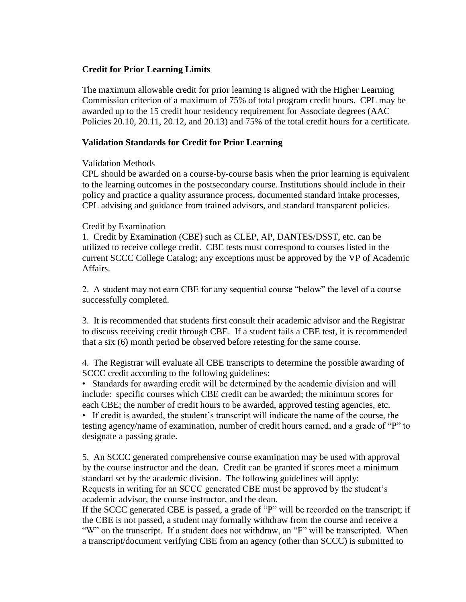## **Credit for Prior Learning Limits**

The maximum allowable credit for prior learning is aligned with the Higher Learning Commission criterion of a maximum of 75% of total program credit hours. CPL may be awarded up to the 15 credit hour residency requirement for Associate degrees (AAC Policies 20.10, 20.11, 20.12, and 20.13) and 75% of the total credit hours for a certificate.

## **Validation Standards for Credit for Prior Learning**

## Validation Methods

CPL should be awarded on a course-by-course basis when the prior learning is equivalent to the learning outcomes in the postsecondary course. Institutions should include in their policy and practice a quality assurance process, documented standard intake processes, CPL advising and guidance from trained advisors, and standard transparent policies.

## Credit by Examination

1. Credit by Examination (CBE) such as CLEP, AP, DANTES/DSST, etc. can be utilized to receive college credit. CBE tests must correspond to courses listed in the current SCCC College Catalog; any exceptions must be approved by the VP of Academic Affairs.

2. A student may not earn CBE for any sequential course "below" the level of a course successfully completed.

3. It is recommended that students first consult their academic advisor and the Registrar to discuss receiving credit through CBE. If a student fails a CBE test, it is recommended that a six (6) month period be observed before retesting for the same course.

4. The Registrar will evaluate all CBE transcripts to determine the possible awarding of SCCC credit according to the following guidelines:

• Standards for awarding credit will be determined by the academic division and will include: specific courses which CBE credit can be awarded; the minimum scores for each CBE; the number of credit hours to be awarded, approved testing agencies, etc.

• If credit is awarded, the student's transcript will indicate the name of the course, the testing agency/name of examination, number of credit hours earned, and a grade of "P" to designate a passing grade.

5. An SCCC generated comprehensive course examination may be used with approval by the course instructor and the dean. Credit can be granted if scores meet a minimum standard set by the academic division. The following guidelines will apply: Requests in writing for an SCCC generated CBE must be approved by the student's academic advisor, the course instructor, and the dean.

If the SCCC generated CBE is passed, a grade of "P" will be recorded on the transcript; if the CBE is not passed, a student may formally withdraw from the course and receive a "W" on the transcript. If a student does not withdraw, an "F" will be transcripted. When a transcript/document verifying CBE from an agency (other than SCCC) is submitted to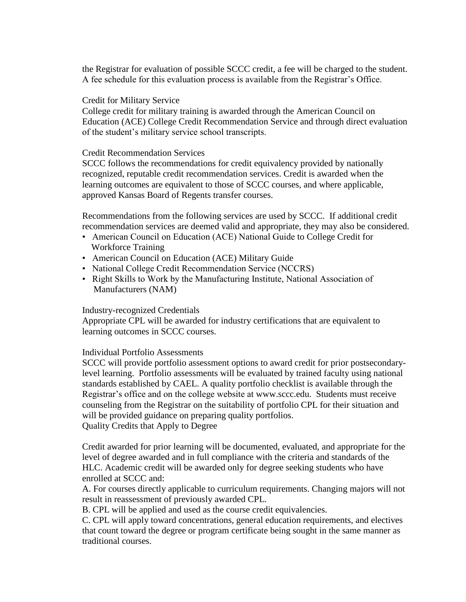the Registrar for evaluation of possible SCCC credit, a fee will be charged to the student. A fee schedule for this evaluation process is available from the Registrar's Office.

### Credit for Military Service

College credit for military training is awarded through the American Council on Education (ACE) College Credit Recommendation Service and through direct evaluation of the student's military service school transcripts.

### Credit Recommendation Services

SCCC follows the recommendations for credit equivalency provided by nationally recognized, reputable credit recommendation services. Credit is awarded when the learning outcomes are equivalent to those of SCCC courses, and where applicable, approved Kansas Board of Regents transfer courses.

Recommendations from the following services are used by SCCC. If additional credit recommendation services are deemed valid and appropriate, they may also be considered.

- American Council on Education (ACE) National Guide to College Credit for Workforce Training
- American Council on Education (ACE) Military Guide
- National College Credit Recommendation Service (NCCRS)
- Right Skills to Work by the Manufacturing Institute, National Association of Manufacturers (NAM)

### Industry-recognized Credentials

Appropriate CPL will be awarded for industry certifications that are equivalent to learning outcomes in SCCC courses.

## Individual Portfolio Assessments

SCCC will provide portfolio assessment options to award credit for prior postsecondarylevel learning. Portfolio assessments will be evaluated by trained faculty using national standards established by CAEL. A quality portfolio checklist is available through the Registrar's office and on the college website at www.sccc.edu. Students must receive counseling from the Registrar on the suitability of portfolio CPL for their situation and will be provided guidance on preparing quality portfolios. Quality Credits that Apply to Degree

Credit awarded for prior learning will be documented, evaluated, and appropriate for the level of degree awarded and in full compliance with the criteria and standards of the HLC. Academic credit will be awarded only for degree seeking students who have enrolled at SCCC and:

A. For courses directly applicable to curriculum requirements. Changing majors will not result in reassessment of previously awarded CPL.

B. CPL will be applied and used as the course credit equivalencies.

C. CPL will apply toward concentrations, general education requirements, and electives that count toward the degree or program certificate being sought in the same manner as traditional courses.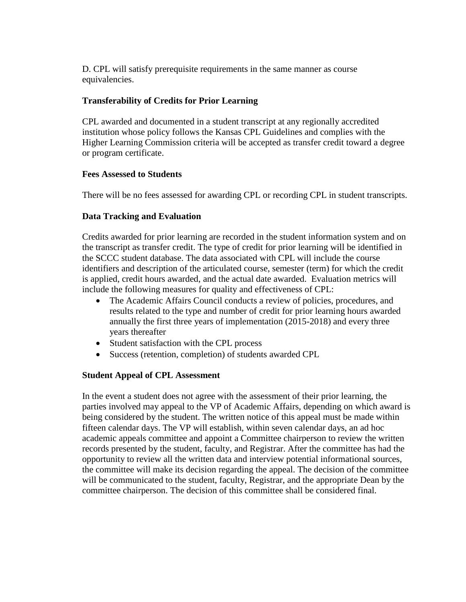D. CPL will satisfy prerequisite requirements in the same manner as course equivalencies.

## **Transferability of Credits for Prior Learning**

CPL awarded and documented in a student transcript at any regionally accredited institution whose policy follows the Kansas CPL Guidelines and complies with the Higher Learning Commission criteria will be accepted as transfer credit toward a degree or program certificate.

## **Fees Assessed to Students**

There will be no fees assessed for awarding CPL or recording CPL in student transcripts.

## **Data Tracking and Evaluation**

Credits awarded for prior learning are recorded in the student information system and on the transcript as transfer credit. The type of credit for prior learning will be identified in the SCCC student database. The data associated with CPL will include the course identifiers and description of the articulated course, semester (term) for which the credit is applied, credit hours awarded, and the actual date awarded. Evaluation metrics will include the following measures for quality and effectiveness of CPL:

- The Academic Affairs Council conducts a review of policies, procedures, and results related to the type and number of credit for prior learning hours awarded annually the first three years of implementation (2015-2018) and every three years thereafter
- Student satisfaction with the CPL process
- Success (retention, completion) of students awarded CPL

## **Student Appeal of CPL Assessment**

In the event a student does not agree with the assessment of their prior learning, the parties involved may appeal to the VP of Academic Affairs, depending on which award is being considered by the student. The written notice of this appeal must be made within fifteen calendar days. The VP will establish, within seven calendar days, an ad hoc academic appeals committee and appoint a Committee chairperson to review the written records presented by the student, faculty, and Registrar. After the committee has had the opportunity to review all the written data and interview potential informational sources, the committee will make its decision regarding the appeal. The decision of the committee will be communicated to the student, faculty, Registrar, and the appropriate Dean by the committee chairperson. The decision of this committee shall be considered final.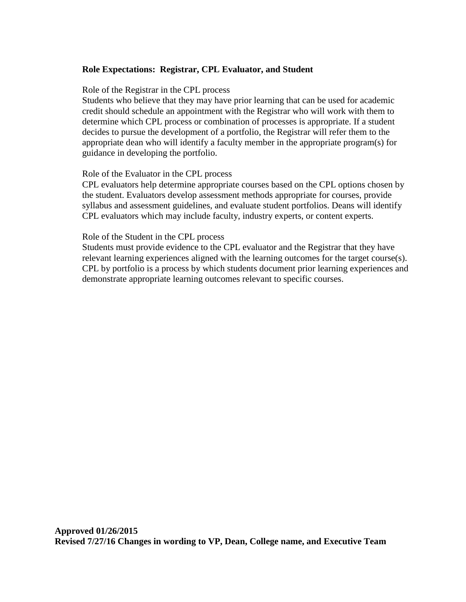## **Role Expectations: Registrar, CPL Evaluator, and Student**

#### Role of the Registrar in the CPL process

Students who believe that they may have prior learning that can be used for academic credit should schedule an appointment with the Registrar who will work with them to determine which CPL process or combination of processes is appropriate. If a student decides to pursue the development of a portfolio, the Registrar will refer them to the appropriate dean who will identify a faculty member in the appropriate program(s) for guidance in developing the portfolio.

#### Role of the Evaluator in the CPL process

CPL evaluators help determine appropriate courses based on the CPL options chosen by the student. Evaluators develop assessment methods appropriate for courses, provide syllabus and assessment guidelines, and evaluate student portfolios. Deans will identify CPL evaluators which may include faculty, industry experts, or content experts.

#### Role of the Student in the CPL process

Students must provide evidence to the CPL evaluator and the Registrar that they have relevant learning experiences aligned with the learning outcomes for the target course(s). CPL by portfolio is a process by which students document prior learning experiences and demonstrate appropriate learning outcomes relevant to specific courses.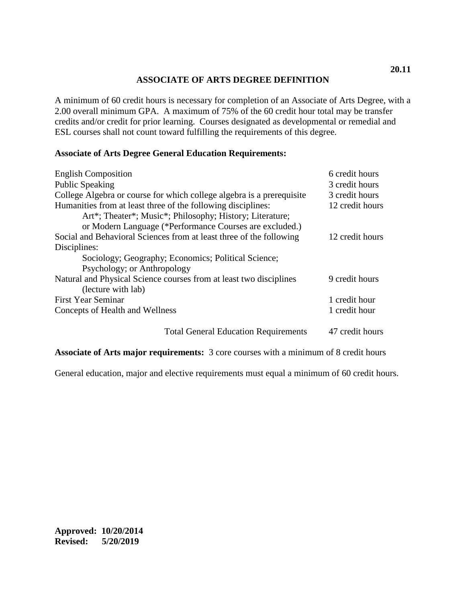## **ASSOCIATE OF ARTS DEGREE DEFINITION**

<span id="page-26-0"></span>A minimum of 60 credit hours is necessary for completion of an Associate of Arts Degree, with a 2.00 overall minimum GPA. A maximum of 75% of the 60 credit hour total may be transfer credits and/or credit for prior learning. Courses designated as developmental or remedial and ESL courses shall not count toward fulfilling the requirements of this degree.

## **Associate of Arts Degree General Education Requirements:**

| <b>English Composition</b>                                            | 6 credit hours  |
|-----------------------------------------------------------------------|-----------------|
| <b>Public Speaking</b>                                                | 3 credit hours  |
| College Algebra or course for which college algebra is a prerequisite | 3 credit hours  |
| Humanities from at least three of the following disciplines:          | 12 credit hours |
| Art*; Theater*; Music*; Philosophy; History; Literature;              |                 |
| or Modern Language (*Performance Courses are excluded.)               |                 |
| Social and Behavioral Sciences from at least three of the following   | 12 credit hours |
| Disciplines:                                                          |                 |
| Sociology; Geography; Economics; Political Science;                   |                 |
| Psychology; or Anthropology                                           |                 |
| Natural and Physical Science courses from at least two disciplines    | 9 credit hours  |
| (lecture with lab)                                                    |                 |
| <b>First Year Seminar</b>                                             | 1 credit hour   |
| Concepts of Health and Wellness                                       | 1 credit hour   |
| <b>Total General Education Requirements</b>                           | 47 credit hours |

**Associate of Arts major requirements:** 3 core courses with a minimum of 8 credit hours

General education, major and elective requirements must equal a minimum of 60 credit hours.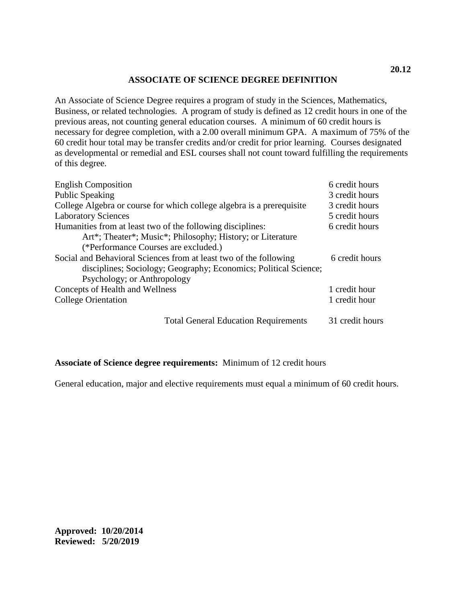## **ASSOCIATE OF SCIENCE DEGREE DEFINITION**

<span id="page-27-0"></span>An Associate of Science Degree requires a program of study in the Sciences, Mathematics, Business, or related technologies. A program of study is defined as 12 credit hours in one of the previous areas, not counting general education courses. A minimum of 60 credit hours is necessary for degree completion, with a 2.00 overall minimum GPA. A maximum of 75% of the 60 credit hour total may be transfer credits and/or credit for prior learning. Courses designated as developmental or remedial and ESL courses shall not count toward fulfilling the requirements of this degree.

| <b>English Composition</b>                                            | 6 credit hours  |
|-----------------------------------------------------------------------|-----------------|
| <b>Public Speaking</b>                                                | 3 credit hours  |
| College Algebra or course for which college algebra is a prerequisite | 3 credit hours  |
| <b>Laboratory Sciences</b>                                            | 5 credit hours  |
| Humanities from at least two of the following disciplines:            | 6 credit hours  |
| Art*; Theater*; Music*; Philosophy; History; or Literature            |                 |
| (*Performance Courses are excluded.)                                  |                 |
| Social and Behavioral Sciences from at least two of the following     | 6 credit hours  |
| disciplines; Sociology; Geography; Economics; Political Science;      |                 |
| Psychology; or Anthropology                                           |                 |
| Concepts of Health and Wellness                                       | 1 credit hour   |
| <b>College Orientation</b>                                            | 1 credit hour   |
| <b>Total General Education Requirements</b>                           | 31 credit hours |

## **Associate of Science degree requirements:** Minimum of 12 credit hours

General education, major and elective requirements must equal a minimum of 60 credit hours.

<span id="page-27-1"></span>**Approved: 10/20/2014 Reviewed: 5/20/2019**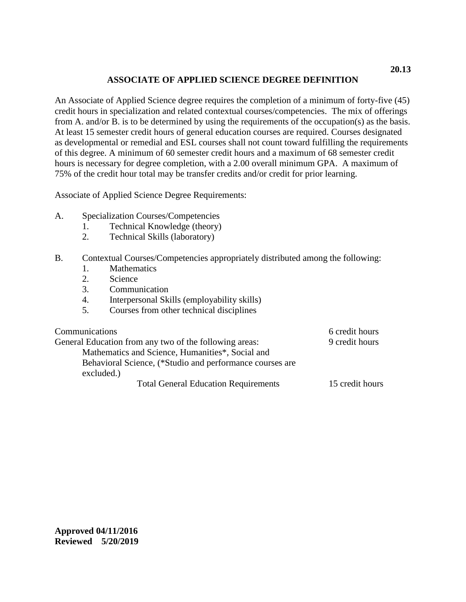## **ASSOCIATE OF APPLIED SCIENCE DEGREE DEFINITION**

An Associate of Applied Science degree requires the completion of a minimum of forty-five (45) credit hours in specialization and related contextual courses/competencies. The mix of offerings from A. and/or B. is to be determined by using the requirements of the occupation(s) as the basis. At least 15 semester credit hours of general education courses are required. Courses designated as developmental or remedial and ESL courses shall not count toward fulfilling the requirements of this degree. A minimum of 60 semester credit hours and a maximum of 68 semester credit hours is necessary for degree completion, with a 2.00 overall minimum GPA. A maximum of 75% of the credit hour total may be transfer credits and/or credit for prior learning.

Associate of Applied Science Degree Requirements:

- A. Specialization Courses/Competencies
	- 1. Technical Knowledge (theory)
	- 2. Technical Skills (laboratory)

## B. Contextual Courses/Competencies appropriately distributed among the following:

- 1. Mathematics
- 2. Science
- 3. Communication
- 4. Interpersonal Skills (employability skills)
- 5. Courses from other technical disciplines

<span id="page-28-0"></span>

| Communications                                           | 6 credit hours  |
|----------------------------------------------------------|-----------------|
| General Education from any two of the following areas:   | 9 credit hours  |
| Mathematics and Science, Humanities*, Social and         |                 |
| Behavioral Science, (*Studio and performance courses are |                 |
| excluded.)                                               |                 |
| <b>Total General Education Requirements</b>              | 15 credit hours |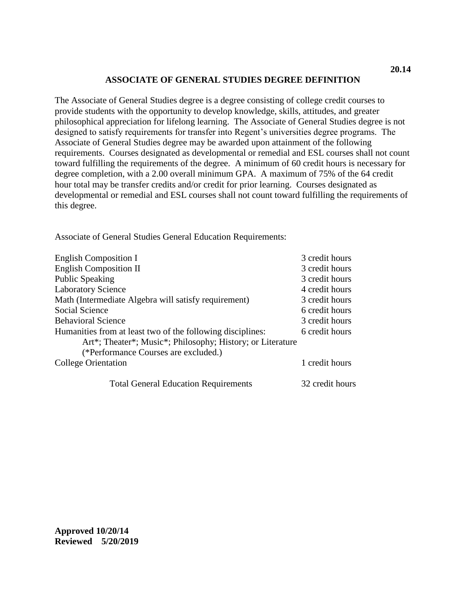### **ASSOCIATE OF GENERAL STUDIES DEGREE DEFINITION**

The Associate of General Studies degree is a degree consisting of college credit courses to provide students with the opportunity to develop knowledge, skills, attitudes, and greater philosophical appreciation for lifelong learning. The Associate of General Studies degree is not designed to satisfy requirements for transfer into Regent's universities degree programs. The Associate of General Studies degree may be awarded upon attainment of the following requirements. Courses designated as developmental or remedial and ESL courses shall not count toward fulfilling the requirements of the degree. A minimum of 60 credit hours is necessary for degree completion, with a 2.00 overall minimum GPA. A maximum of 75% of the 64 credit hour total may be transfer credits and/or credit for prior learning. Courses designated as developmental or remedial and ESL courses shall not count toward fulfilling the requirements of this degree.

Associate of General Studies General Education Requirements:

| <b>English Composition I</b>                               | 3 credit hours  |
|------------------------------------------------------------|-----------------|
| <b>English Composition II</b>                              | 3 credit hours  |
| Public Speaking                                            | 3 credit hours  |
| <b>Laboratory Science</b>                                  | 4 credit hours  |
| Math (Intermediate Algebra will satisfy requirement)       | 3 credit hours  |
| Social Science                                             | 6 credit hours  |
| <b>Behavioral Science</b>                                  | 3 credit hours  |
| Humanities from at least two of the following disciplines: | 6 credit hours  |
| Art*; Theater*; Music*; Philosophy; History; or Literature |                 |
| (*Performance Courses are excluded.)                       |                 |
| College Orientation                                        | 1 credit hours  |
| <b>Total General Education Requirements</b>                | 32 credit hours |

**Approved 10/20/14 Reviewed 5/20/2019**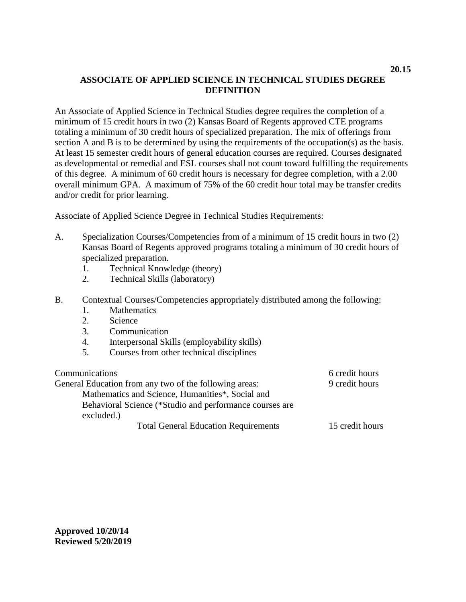# <span id="page-30-0"></span>**ASSOCIATE OF APPLIED SCIENCE IN TECHNICAL STUDIES DEGREE DEFINITION**

An Associate of Applied Science in Technical Studies degree requires the completion of a minimum of 15 credit hours in two (2) Kansas Board of Regents approved CTE programs totaling a minimum of 30 credit hours of specialized preparation. The mix of offerings from section A and B is to be determined by using the requirements of the occupation(s) as the basis. At least 15 semester credit hours of general education courses are required. Courses designated as developmental or remedial and ESL courses shall not count toward fulfilling the requirements of this degree. A minimum of 60 credit hours is necessary for degree completion, with a 2.00 overall minimum GPA. A maximum of 75% of the 60 credit hour total may be transfer credits and/or credit for prior learning.

Associate of Applied Science Degree in Technical Studies Requirements:

- A. Specialization Courses/Competencies from of a minimum of 15 credit hours in two (2) Kansas Board of Regents approved programs totaling a minimum of 30 credit hours of specialized preparation.
	- 1. Technical Knowledge (theory)
	- 2. Technical Skills (laboratory)
- B. Contextual Courses/Competencies appropriately distributed among the following:
	- 1. Mathematics
	- 2. Science
	- 3. Communication
	- 4. Interpersonal Skills (employability skills)
	- 5. Courses from other technical disciplines

| Communications                                          | 6 credit hours  |
|---------------------------------------------------------|-----------------|
| General Education from any two of the following areas:  | 9 credit hours  |
| Mathematics and Science, Humanities*, Social and        |                 |
| Behavioral Science (*Studio and performance courses are |                 |
| excluded.)                                              |                 |
| <b>Total General Education Requirements</b>             | 15 credit hours |

**Approved 10/20/14 Reviewed 5/20/2019**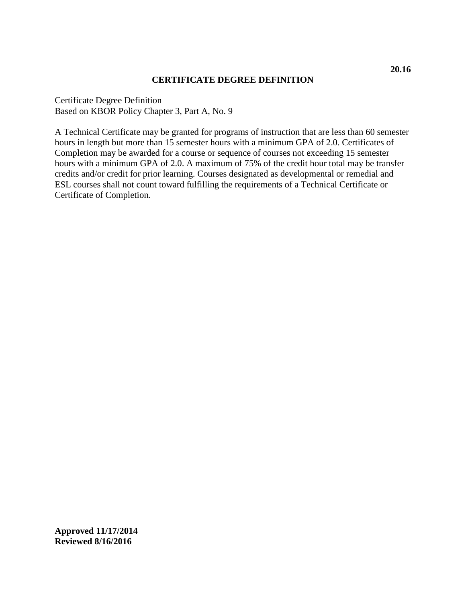### **CERTIFICATE DEGREE DEFINITION**

<span id="page-31-0"></span>Certificate Degree Definition Based on KBOR Policy Chapter 3, Part A, No. 9

A Technical Certificate may be granted for programs of instruction that are less than 60 semester hours in length but more than 15 semester hours with a minimum GPA of 2.0. Certificates of Completion may be awarded for a course or sequence of courses not exceeding 15 semester hours with a minimum GPA of 2.0. A maximum of 75% of the credit hour total may be transfer credits and/or credit for prior learning. Courses designated as developmental or remedial and ESL courses shall not count toward fulfilling the requirements of a Technical Certificate or Certificate of Completion.

**Approved 11/17/2014 Reviewed 8/16/2016**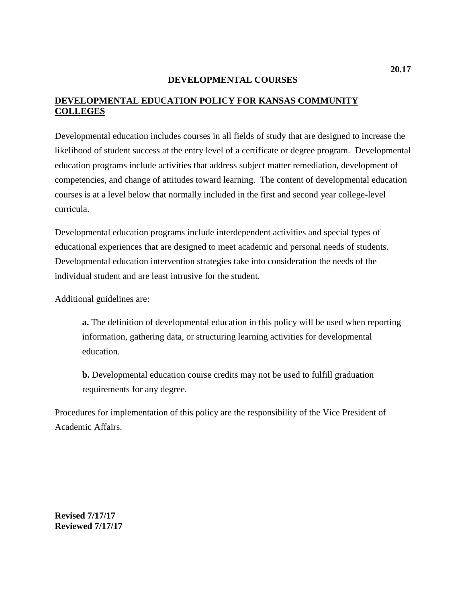## **DEVELOPMENTAL COURSES**

# <span id="page-32-0"></span>**DEVELOPMENTAL EDUCATION POLICY FOR KANSAS COMMUNITY COLLEGES**

Developmental education includes courses in all fields of study that are designed to increase the likelihood of student success at the entry level of a certificate or degree program. Developmental education programs include activities that address subject matter remediation, development of competencies, and change of attitudes toward learning. The content of developmental education courses is at a level below that normally included in the first and second year college-level curricula.

Developmental education programs include interdependent activities and special types of educational experiences that are designed to meet academic and personal needs of students. Developmental education intervention strategies take into consideration the needs of the individual student and are least intrusive for the student.

Additional guidelines are:

**a.** The definition of developmental education in this policy will be used when reporting information, gathering data, or structuring learning activities for developmental education.

**b.** Developmental education course credits may not be used to fulfill graduation requirements for any degree.

Procedures for implementation of this policy are the responsibility of the Vice President of Academic Affairs.

**Revised 7/17/17 Reviewed 7/17/17**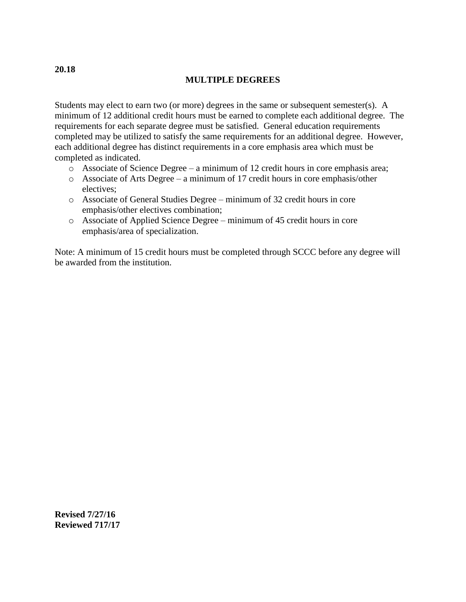## **MULTIPLE DEGREES**

Students may elect to earn two (or more) degrees in the same or subsequent semester(s). A minimum of 12 additional credit hours must be earned to complete each additional degree. The requirements for each separate degree must be satisfied. General education requirements completed may be utilized to satisfy the same requirements for an additional degree. However, each additional degree has distinct requirements in a core emphasis area which must be completed as indicated.

- o Associate of Science Degree a minimum of 12 credit hours in core emphasis area;
- o Associate of Arts Degree a minimum of 17 credit hours in core emphasis/other electives;
- o Associate of General Studies Degree minimum of 32 credit hours in core emphasis/other electives combination;
- o Associate of Applied Science Degree minimum of 45 credit hours in core emphasis/area of specialization.

Note: A minimum of 15 credit hours must be completed through SCCC before any degree will be awarded from the institution.

**Revised 7/27/16 Reviewed 717/17**

<span id="page-33-0"></span>**20.18**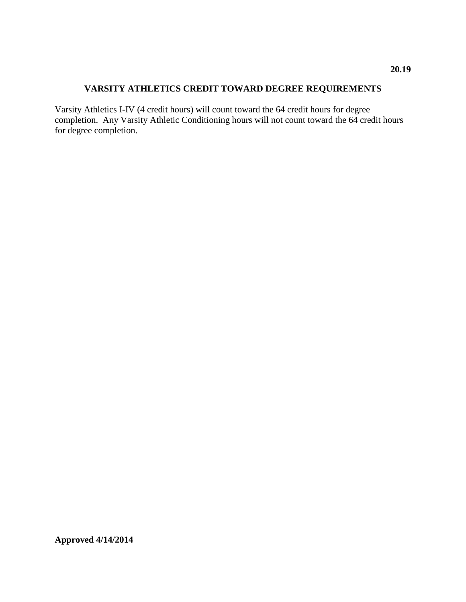# <span id="page-34-0"></span>**VARSITY ATHLETICS CREDIT TOWARD DEGREE REQUIREMENTS**

Varsity Athletics I-IV (4 credit hours) will count toward the 64 credit hours for degree completion. Any Varsity Athletic Conditioning hours will not count toward the 64 credit hours for degree completion.

**Approved 4/14/2014**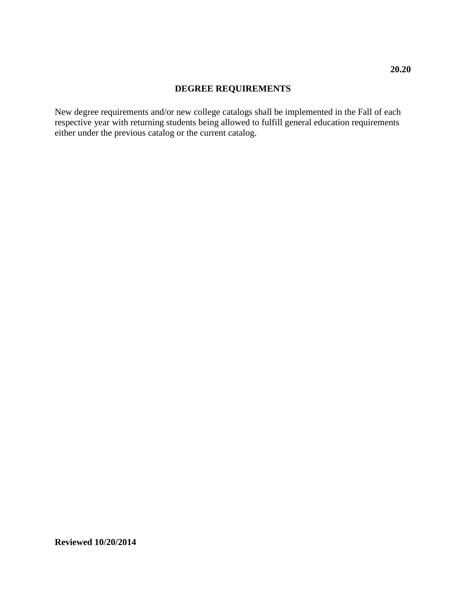# **DEGREE REQUIREMENTS**

<span id="page-35-0"></span>New degree requirements and/or new college catalogs shall be implemented in the Fall of each respective year with returning students being allowed to fulfill general education requirements either under the previous catalog or the current catalog.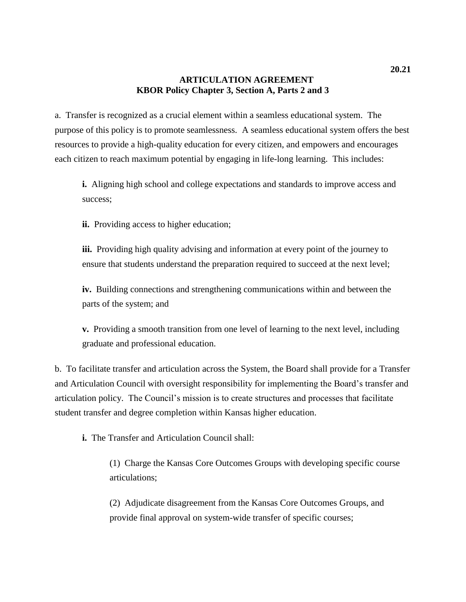## **ARTICULATION AGREEMENT KBOR Policy Chapter 3, Section A, Parts 2 and 3**

a. Transfer is recognized as a crucial element within a seamless educational system. The purpose of this policy is to promote seamlessness. A seamless educational system offers the best resources to provide a high-quality education for every citizen, and empowers and encourages each citizen to reach maximum potential by engaging in life-long learning. This includes:

**i.** Aligning high school and college expectations and standards to improve access and success;

**ii.** Providing access to higher education;

**iii.** Providing high quality advising and information at every point of the journey to ensure that students understand the preparation required to succeed at the next level;

**iv.** Building connections and strengthening communications within and between the parts of the system; and

**v.** Providing a smooth transition from one level of learning to the next level, including graduate and professional education.

b. To facilitate transfer and articulation across the System, the Board shall provide for a Transfer and Articulation Council with oversight responsibility for implementing the Board's transfer and articulation policy. The Council's mission is to create structures and processes that facilitate student transfer and degree completion within Kansas higher education.

**i.** The Transfer and Articulation Council shall:

(1) Charge the Kansas Core Outcomes Groups with developing specific course articulations;

(2) Adjudicate disagreement from the Kansas Core Outcomes Groups, and provide final approval on system-wide transfer of specific courses;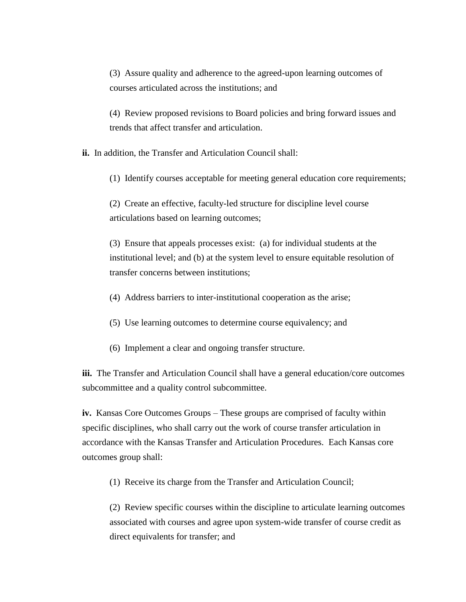(3) Assure quality and adherence to the agreed-upon learning outcomes of courses articulated across the institutions; and

(4) Review proposed revisions to Board policies and bring forward issues and trends that affect transfer and articulation.

**ii.** In addition, the Transfer and Articulation Council shall:

(1) Identify courses acceptable for meeting general education core requirements;

(2) Create an effective, faculty-led structure for discipline level course articulations based on learning outcomes;

(3) Ensure that appeals processes exist: (a) for individual students at the institutional level; and (b) at the system level to ensure equitable resolution of transfer concerns between institutions;

- (4) Address barriers to inter-institutional cooperation as the arise;
- (5) Use learning outcomes to determine course equivalency; and
- (6) Implement a clear and ongoing transfer structure.

iii. The Transfer and Articulation Council shall have a general education/core outcomes subcommittee and a quality control subcommittee.

**iv.** Kansas Core Outcomes Groups – These groups are comprised of faculty within specific disciplines, who shall carry out the work of course transfer articulation in accordance with the Kansas Transfer and Articulation Procedures. Each Kansas core outcomes group shall:

(1) Receive its charge from the Transfer and Articulation Council;

(2) Review specific courses within the discipline to articulate learning outcomes associated with courses and agree upon system-wide transfer of course credit as direct equivalents for transfer; and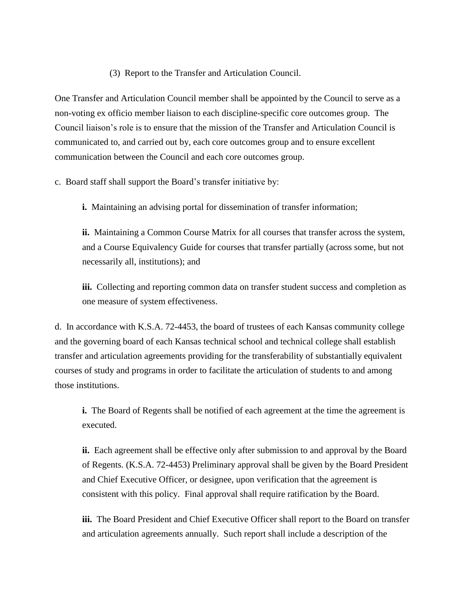### (3) Report to the Transfer and Articulation Council.

One Transfer and Articulation Council member shall be appointed by the Council to serve as a non-voting ex officio member liaison to each discipline-specific core outcomes group. The Council liaison's role is to ensure that the mission of the Transfer and Articulation Council is communicated to, and carried out by, each core outcomes group and to ensure excellent communication between the Council and each core outcomes group.

c. Board staff shall support the Board's transfer initiative by:

**i.** Maintaining an advising portal for dissemination of transfer information;

**ii.** Maintaining a Common Course Matrix for all courses that transfer across the system, and a Course Equivalency Guide for courses that transfer partially (across some, but not necessarily all, institutions); and

**iii.** Collecting and reporting common data on transfer student success and completion as one measure of system effectiveness.

d. In accordance with K.S.A. 72-4453, the board of trustees of each Kansas community college and the governing board of each Kansas technical school and technical college shall establish transfer and articulation agreements providing for the transferability of substantially equivalent courses of study and programs in order to facilitate the articulation of students to and among those institutions.

**i.** The Board of Regents shall be notified of each agreement at the time the agreement is executed.

**ii.** Each agreement shall be effective only after submission to and approval by the Board of Regents. (K.S.A. 72-4453) Preliminary approval shall be given by the Board President and Chief Executive Officer, or designee, upon verification that the agreement is consistent with this policy. Final approval shall require ratification by the Board.

**iii.** The Board President and Chief Executive Officer shall report to the Board on transfer and articulation agreements annually. Such report shall include a description of the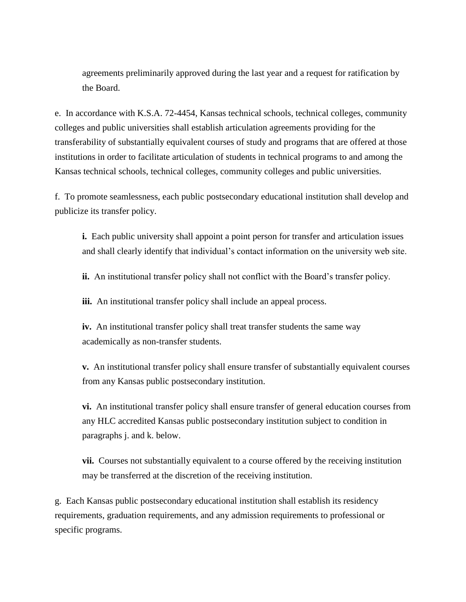agreements preliminarily approved during the last year and a request for ratification by the Board.

e. In accordance with K.S.A. 72-4454, Kansas technical schools, technical colleges, community colleges and public universities shall establish articulation agreements providing for the transferability of substantially equivalent courses of study and programs that are offered at those institutions in order to facilitate articulation of students in technical programs to and among the Kansas technical schools, technical colleges, community colleges and public universities.

f. To promote seamlessness, each public postsecondary educational institution shall develop and publicize its transfer policy.

**i.** Each public university shall appoint a point person for transfer and articulation issues and shall clearly identify that individual's contact information on the university web site.

**ii.** An institutional transfer policy shall not conflict with the Board's transfer policy.

**iii.** An institutional transfer policy shall include an appeal process.

**iv.** An institutional transfer policy shall treat transfer students the same way academically as non-transfer students.

**v.** An institutional transfer policy shall ensure transfer of substantially equivalent courses from any Kansas public postsecondary institution.

**vi.** An institutional transfer policy shall ensure transfer of general education courses from any HLC accredited Kansas public postsecondary institution subject to condition in paragraphs j. and k. below.

**vii.** Courses not substantially equivalent to a course offered by the receiving institution may be transferred at the discretion of the receiving institution.

g. Each Kansas public postsecondary educational institution shall establish its residency requirements, graduation requirements, and any admission requirements to professional or specific programs.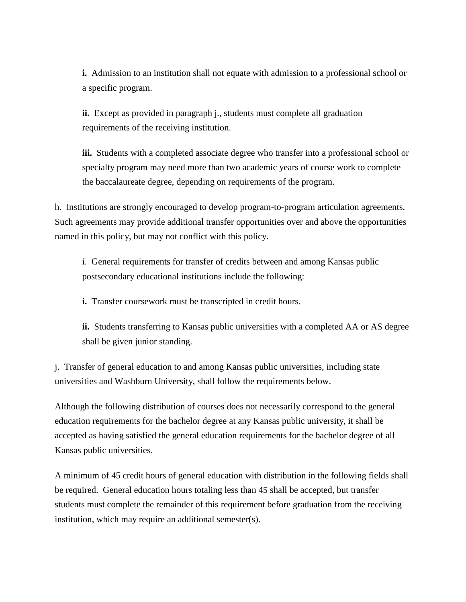**i.** Admission to an institution shall not equate with admission to a professional school or a specific program.

**ii.** Except as provided in paragraph j., students must complete all graduation requirements of the receiving institution.

**iii.** Students with a completed associate degree who transfer into a professional school or specialty program may need more than two academic years of course work to complete the baccalaureate degree, depending on requirements of the program.

h. Institutions are strongly encouraged to develop program-to-program articulation agreements. Such agreements may provide additional transfer opportunities over and above the opportunities named in this policy, but may not conflict with this policy.

i. General requirements for transfer of credits between and among Kansas public postsecondary educational institutions include the following:

**i.** Transfer coursework must be transcripted in credit hours.

**ii.** Students transferring to Kansas public universities with a completed AA or AS degree shall be given junior standing.

j. Transfer of general education to and among Kansas public universities, including state universities and Washburn University, shall follow the requirements below.

Although the following distribution of courses does not necessarily correspond to the general education requirements for the bachelor degree at any Kansas public university, it shall be accepted as having satisfied the general education requirements for the bachelor degree of all Kansas public universities.

A minimum of 45 credit hours of general education with distribution in the following fields shall be required. General education hours totaling less than 45 shall be accepted, but transfer students must complete the remainder of this requirement before graduation from the receiving institution, which may require an additional semester(s).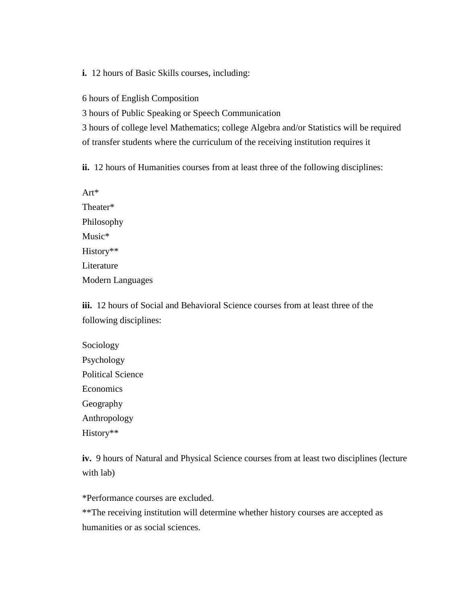**i.** 12 hours of Basic Skills courses, including:

6 hours of English Composition

3 hours of Public Speaking or Speech Communication

3 hours of college level Mathematics; college Algebra and/or Statistics will be required of transfer students where the curriculum of the receiving institution requires it

**ii.** 12 hours of Humanities courses from at least three of the following disciplines:

Art\* Theater\* Philosophy Music\* History\*\* Literature Modern Languages

**iii.** 12 hours of Social and Behavioral Science courses from at least three of the following disciplines:

| Sociology                |
|--------------------------|
| Psychology               |
| <b>Political Science</b> |
| Economics                |
| Geography                |
| Anthropology             |
| History**                |

**iv.** 9 hours of Natural and Physical Science courses from at least two disciplines (lecture with lab)

\*Performance courses are excluded.

\*\*The receiving institution will determine whether history courses are accepted as humanities or as social sciences.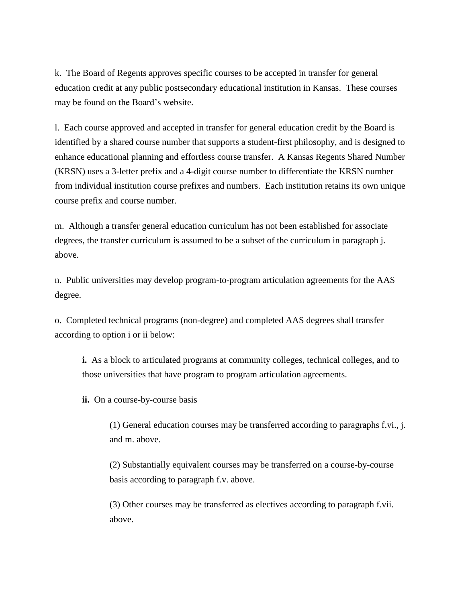k. The Board of Regents approves specific courses to be accepted in transfer for general education credit at any public postsecondary educational institution in Kansas. These courses may be found on the Board's website.

l. Each course approved and accepted in transfer for general education credit by the Board is identified by a shared course number that supports a student-first philosophy, and is designed to enhance educational planning and effortless course transfer. A Kansas Regents Shared Number (KRSN) uses a 3-letter prefix and a 4-digit course number to differentiate the KRSN number from individual institution course prefixes and numbers. Each institution retains its own unique course prefix and course number.

m. Although a transfer general education curriculum has not been established for associate degrees, the transfer curriculum is assumed to be a subset of the curriculum in paragraph j. above.

n. Public universities may develop program-to-program articulation agreements for the AAS degree.

o. Completed technical programs (non-degree) and completed AAS degrees shall transfer according to option i or ii below:

**i.** As a block to articulated programs at community colleges, technical colleges, and to those universities that have program to program articulation agreements.

**ii.** On a course-by-course basis

(1) General education courses may be transferred according to paragraphs f.vi., j. and m. above.

(2) Substantially equivalent courses may be transferred on a course-by-course basis according to paragraph f.v. above.

(3) Other courses may be transferred as electives according to paragraph f.vii. above.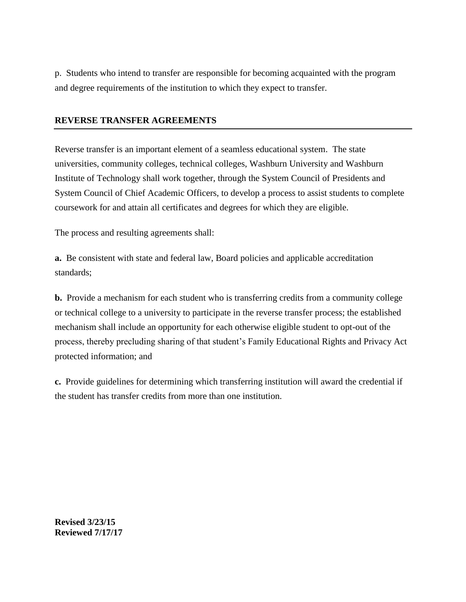p. Students who intend to transfer are responsible for becoming acquainted with the program and degree requirements of the institution to which they expect to transfer.

### **REVERSE TRANSFER AGREEMENTS**

Reverse transfer is an important element of a seamless educational system. The state universities, community colleges, technical colleges, Washburn University and Washburn Institute of Technology shall work together, through the System Council of Presidents and System Council of Chief Academic Officers, to develop a process to assist students to complete coursework for and attain all certificates and degrees for which they are eligible.

The process and resulting agreements shall:

**a.** Be consistent with state and federal law, Board policies and applicable accreditation standards;

**b.** Provide a mechanism for each student who is transferring credits from a community college or technical college to a university to participate in the reverse transfer process; the established mechanism shall include an opportunity for each otherwise eligible student to opt-out of the process, thereby precluding sharing of that student's Family Educational Rights and Privacy Act protected information; and

**c.** Provide guidelines for determining which transferring institution will award the credential if the student has transfer credits from more than one institution.

**Revised 3/23/15 Reviewed 7/17/17**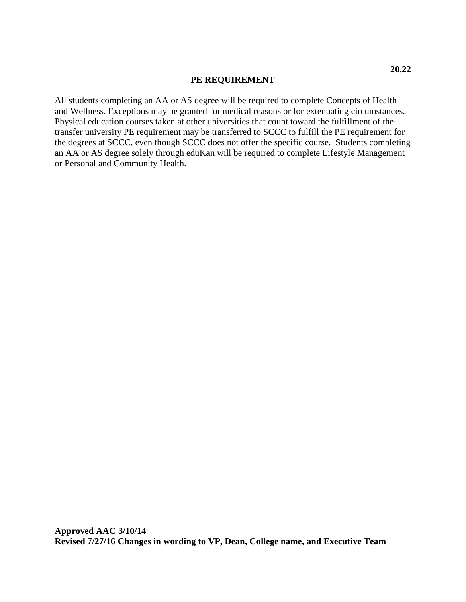#### **PE REQUIREMENT**

All students completing an AA or AS degree will be required to complete Concepts of Health and Wellness. Exceptions may be granted for medical reasons or for extenuating circumstances. Physical education courses taken at other universities that count toward the fulfillment of the transfer university PE requirement may be transferred to SCCC to fulfill the PE requirement for the degrees at SCCC, even though SCCC does not offer the specific course. Students completing an AA or AS degree solely through eduKan will be required to complete Lifestyle Management or Personal and Community Health.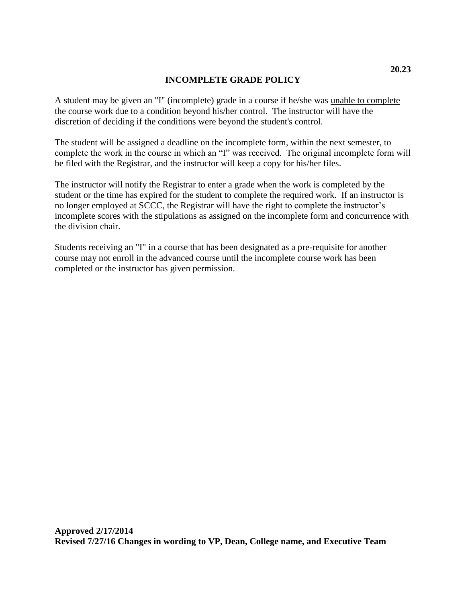## **INCOMPLETE GRADE POLICY**

A student may be given an "I" (incomplete) grade in a course if he/she was unable to complete the course work due to a condition beyond his/her control. The instructor will have the discretion of deciding if the conditions were beyond the student's control.

The student will be assigned a deadline on the incomplete form, within the next semester, to complete the work in the course in which an "I" was received. The original incomplete form will be filed with the Registrar, and the instructor will keep a copy for his/her files.

The instructor will notify the Registrar to enter a grade when the work is completed by the student or the time has expired for the student to complete the required work. If an instructor is no longer employed at SCCC, the Registrar will have the right to complete the instructor's incomplete scores with the stipulations as assigned on the incomplete form and concurrence with the division chair.

Students receiving an "I" in a course that has been designated as a pre-requisite for another course may not enroll in the advanced course until the incomplete course work has been completed or the instructor has given permission.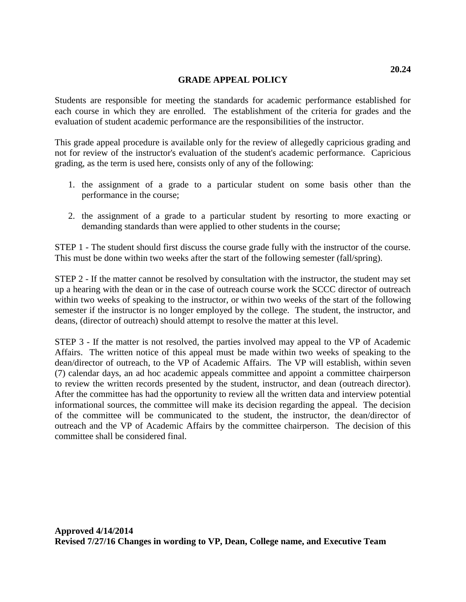### **GRADE APPEAL POLICY**

Students are responsible for meeting the standards for academic performance established for each course in which they are enrolled. The establishment of the criteria for grades and the evaluation of student academic performance are the responsibilities of the instructor.

This grade appeal procedure is available only for the review of allegedly capricious grading and not for review of the instructor's evaluation of the student's academic performance. Capricious grading, as the term is used here, consists only of any of the following:

- 1. the assignment of a grade to a particular student on some basis other than the performance in the course;
- 2. the assignment of a grade to a particular student by resorting to more exacting or demanding standards than were applied to other students in the course;

STEP 1 - The student should first discuss the course grade fully with the instructor of the course. This must be done within two weeks after the start of the following semester (fall/spring).

STEP 2 - If the matter cannot be resolved by consultation with the instructor, the student may set up a hearing with the dean or in the case of outreach course work the SCCC director of outreach within two weeks of speaking to the instructor, or within two weeks of the start of the following semester if the instructor is no longer employed by the college. The student, the instructor, and deans, (director of outreach) should attempt to resolve the matter at this level.

STEP 3 - If the matter is not resolved, the parties involved may appeal to the VP of Academic Affairs. The written notice of this appeal must be made within two weeks of speaking to the dean/director of outreach, to the VP of Academic Affairs. The VP will establish, within seven (7) calendar days, an ad hoc academic appeals committee and appoint a committee chairperson to review the written records presented by the student, instructor, and dean (outreach director). After the committee has had the opportunity to review all the written data and interview potential informational sources, the committee will make its decision regarding the appeal. The decision of the committee will be communicated to the student, the instructor, the dean/director of outreach and the VP of Academic Affairs by the committee chairperson. The decision of this committee shall be considered final.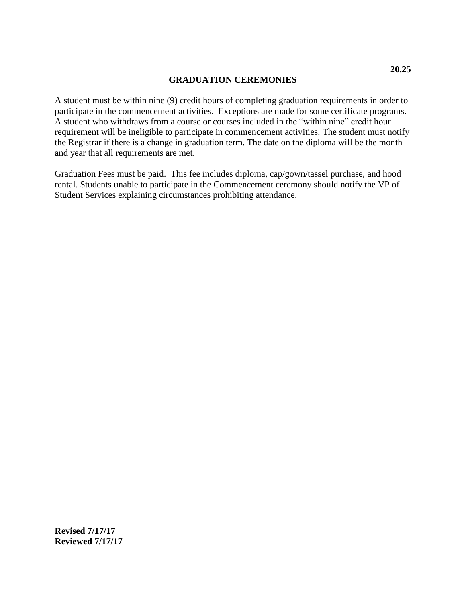## **GRADUATION CEREMONIES**

A student must be within nine (9) credit hours of completing graduation requirements in order to participate in the commencement activities. Exceptions are made for some certificate programs. A student who withdraws from a course or courses included in the "within nine" credit hour requirement will be ineligible to participate in commencement activities. The student must notify the Registrar if there is a change in graduation term. The date on the diploma will be the month and year that all requirements are met.

Graduation Fees must be paid. This fee includes diploma, cap/gown/tassel purchase, and hood rental. Students unable to participate in the Commencement ceremony should notify the VP of Student Services explaining circumstances prohibiting attendance.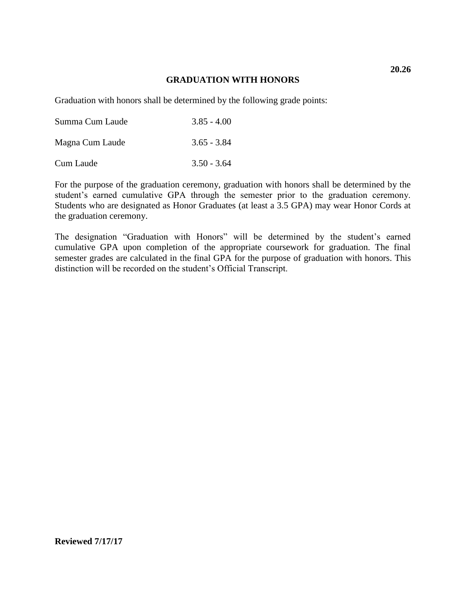### **GRADUATION WITH HONORS**

Graduation with honors shall be determined by the following grade points:

| Summa Cum Laude | $3.85 - 4.00$ |
|-----------------|---------------|
| Magna Cum Laude | $3.65 - 3.84$ |
| Cum Laude       | $3.50 - 3.64$ |

For the purpose of the graduation ceremony, graduation with honors shall be determined by the student's earned cumulative GPA through the semester prior to the graduation ceremony. Students who are designated as Honor Graduates (at least a 3.5 GPA) may wear Honor Cords at the graduation ceremony.

The designation "Graduation with Honors" will be determined by the student's earned cumulative GPA upon completion of the appropriate coursework for graduation. The final semester grades are calculated in the final GPA for the purpose of graduation with honors. This distinction will be recorded on the student's Official Transcript.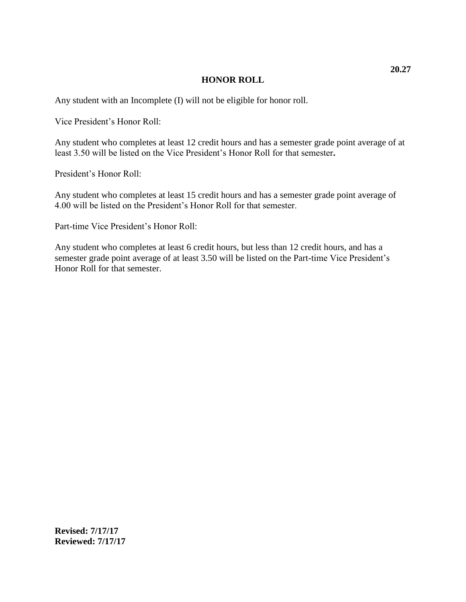### **HONOR ROLL**

Any student with an Incomplete (I) will not be eligible for honor roll.

Vice President's Honor Roll:

Any student who completes at least 12 credit hours and has a semester grade point average of at least 3.50 will be listed on the Vice President's Honor Roll for that semester**.**

President's Honor Roll:

Any student who completes at least 15 credit hours and has a semester grade point average of 4.00 will be listed on the President's Honor Roll for that semester.

Part-time Vice President's Honor Roll:

Any student who completes at least 6 credit hours, but less than 12 credit hours, and has a semester grade point average of at least 3.50 will be listed on the Part-time Vice President's Honor Roll for that semester.

**Revised: 7/17/17 Reviewed: 7/17/17**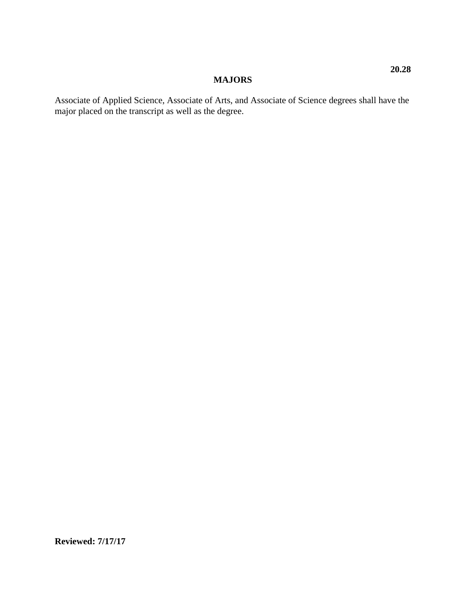# **MAJORS**

Associate of Applied Science, Associate of Arts, and Associate of Science degrees shall have the major placed on the transcript as well as the degree.

**Reviewed: 7/17/17**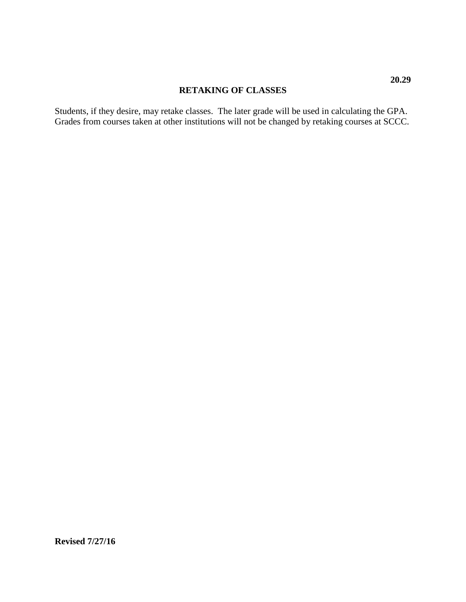### **RETAKING OF CLASSES**

Students, if they desire, may retake classes. The later grade will be used in calculating the GPA. Grades from courses taken at other institutions will not be changed by retaking courses at SCCC.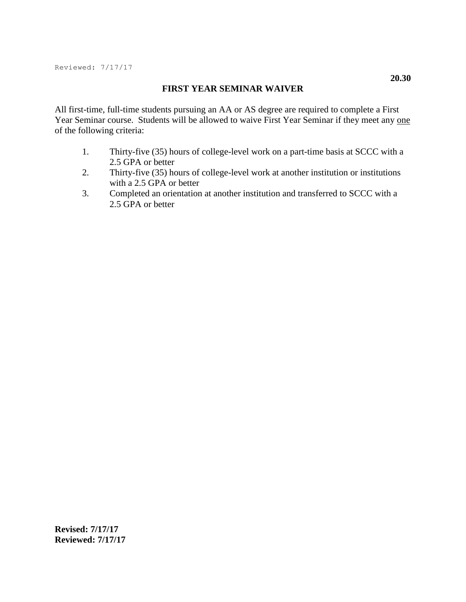### **FIRST YEAR SEMINAR WAIVER**

All first-time, full-time students pursuing an AA or AS degree are required to complete a First Year Seminar course. Students will be allowed to waive First Year Seminar if they meet any one of the following criteria:

- 1. Thirty-five (35) hours of college-level work on a part-time basis at SCCC with a 2.5 GPA or better
- 2. Thirty-five (35) hours of college-level work at another institution or institutions with a 2.5 GPA or better
- 3. Completed an orientation at another institution and transferred to SCCC with a 2.5 GPA or better

**Revised: 7/17/17 Reviewed: 7/17/17**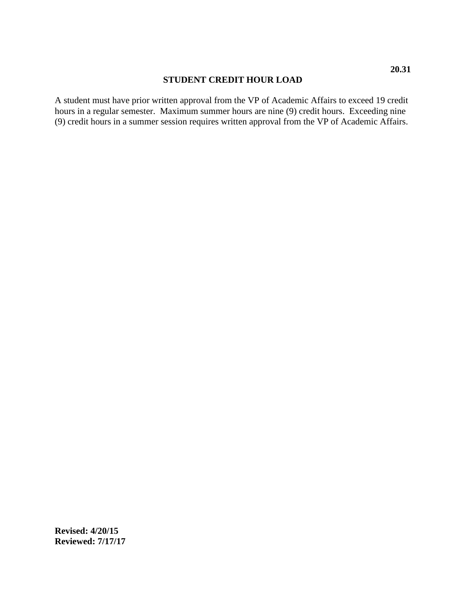### **STUDENT CREDIT HOUR LOAD**

A student must have prior written approval from the VP of Academic Affairs to exceed 19 credit hours in a regular semester. Maximum summer hours are nine (9) credit hours. Exceeding nine (9) credit hours in a summer session requires written approval from the VP of Academic Affairs.

**Revised: 4/20/15 Reviewed: 7/17/17**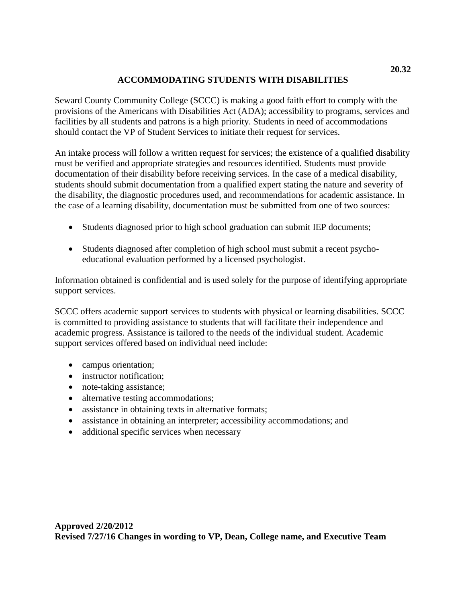# **ACCOMMODATING STUDENTS WITH DISABILITIES**

Seward County Community College (SCCC) is making a good faith effort to comply with the provisions of the Americans with Disabilities Act (ADA); accessibility to programs, services and facilities by all students and patrons is a high priority. Students in need of accommodations should contact the VP of Student Services to initiate their request for services.

An intake process will follow a written request for services; the existence of a qualified disability must be verified and appropriate strategies and resources identified. Students must provide documentation of their disability before receiving services. In the case of a medical disability, students should submit documentation from a qualified expert stating the nature and severity of the disability, the diagnostic procedures used, and recommendations for academic assistance. In the case of a learning disability, documentation must be submitted from one of two sources:

- Students diagnosed prior to high school graduation can submit IEP documents;
- Students diagnosed after completion of high school must submit a recent psychoeducational evaluation performed by a licensed psychologist.

Information obtained is confidential and is used solely for the purpose of identifying appropriate support services.

SCCC offers academic support services to students with physical or learning disabilities. SCCC is committed to providing assistance to students that will facilitate their independence and academic progress. Assistance is tailored to the needs of the individual student. Academic support services offered based on individual need include:

- campus orientation;
- instructor notification;
- note-taking assistance;
- alternative testing accommodations;
- assistance in obtaining texts in alternative formats;
- assistance in obtaining an interpreter; accessibility accommodations; and
- additional specific services when necessary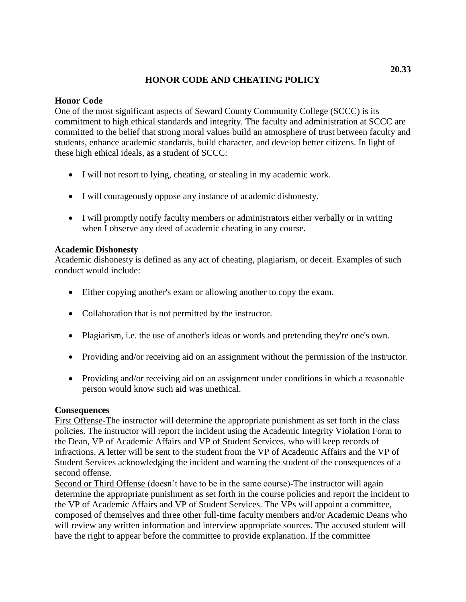# **HONOR CODE AND CHEATING POLICY**

### **Honor Code**

One of the most significant aspects of Seward County Community College (SCCC) is its commitment to high ethical standards and integrity. The faculty and administration at SCCC are committed to the belief that strong moral values build an atmosphere of trust between faculty and students, enhance academic standards, build character, and develop better citizens. In light of these high ethical ideals, as a student of SCCC:

- I will not resort to lying, cheating, or stealing in my academic work.
- I will courageously oppose any instance of academic dishonesty.
- I will promptly notify faculty members or administrators either verbally or in writing when I observe any deed of academic cheating in any course.

## **Academic Dishonesty**

Academic dishonesty is defined as any act of cheating, plagiarism, or deceit. Examples of such conduct would include:

- Either copying another's exam or allowing another to copy the exam.
- Collaboration that is not permitted by the instructor.
- Plagiarism, i.e. the use of another's ideas or words and pretending they're one's own.
- Providing and/or receiving aid on an assignment without the permission of the instructor.
- Providing and/or receiving aid on an assignment under conditions in which a reasonable person would know such aid was unethical.

## **Consequences**

First Offense-The instructor will determine the appropriate punishment as set forth in the class policies. The instructor will report the incident using the Academic Integrity Violation Form to the Dean, VP of Academic Affairs and VP of Student Services, who will keep records of infractions. A letter will be sent to the student from the VP of Academic Affairs and the VP of Student Services acknowledging the incident and warning the student of the consequences of a second offense.

Second or Third Offense (doesn't have to be in the same course)-The instructor will again determine the appropriate punishment as set forth in the course policies and report the incident to the VP of Academic Affairs and VP of Student Services. The VPs will appoint a committee, composed of themselves and three other full-time faculty members and/or Academic Deans who will review any written information and interview appropriate sources. The accused student will have the right to appear before the committee to provide explanation. If the committee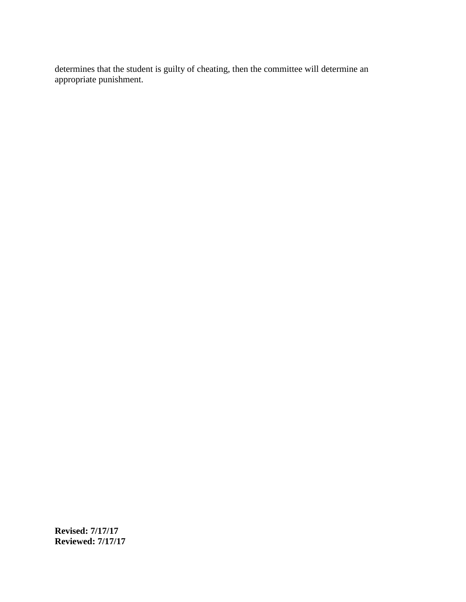determines that the student is guilty of cheating, then the committee will determine an appropriate punishment.

**Revised: 7/17/17 Reviewed: 7/17/17**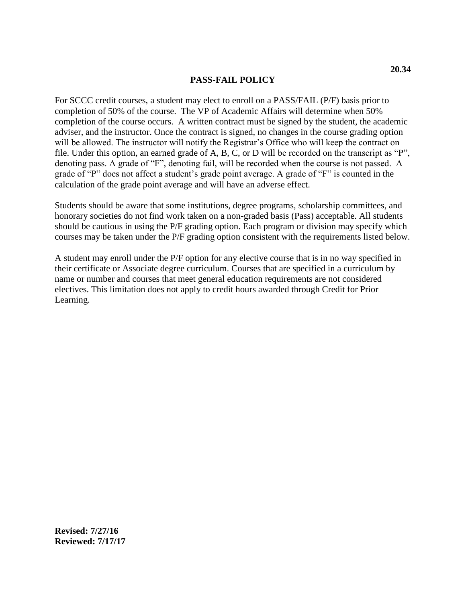### **PASS-FAIL POLICY**

For SCCC credit courses, a student may elect to enroll on a PASS/FAIL (P/F) basis prior to completion of 50% of the course. The VP of Academic Affairs will determine when 50% completion of the course occurs. A written contract must be signed by the student, the academic adviser, and the instructor. Once the contract is signed, no changes in the course grading option will be allowed. The instructor will notify the Registrar's Office who will keep the contract on file. Under this option, an earned grade of A, B, C, or D will be recorded on the transcript as "P", denoting pass. A grade of "F", denoting fail, will be recorded when the course is not passed. A grade of "P" does not affect a student's grade point average. A grade of "F" is counted in the calculation of the grade point average and will have an adverse effect.

Students should be aware that some institutions, degree programs, scholarship committees, and honorary societies do not find work taken on a non-graded basis (Pass) acceptable. All students should be cautious in using the P/F grading option. Each program or division may specify which courses may be taken under the P/F grading option consistent with the requirements listed below.

A student may enroll under the P/F option for any elective course that is in no way specified in their certificate or Associate degree curriculum. Courses that are specified in a curriculum by name or number and courses that meet general education requirements are not considered electives. This limitation does not apply to credit hours awarded through Credit for Prior Learning.

**Revised: 7/27/16 Reviewed: 7/17/17**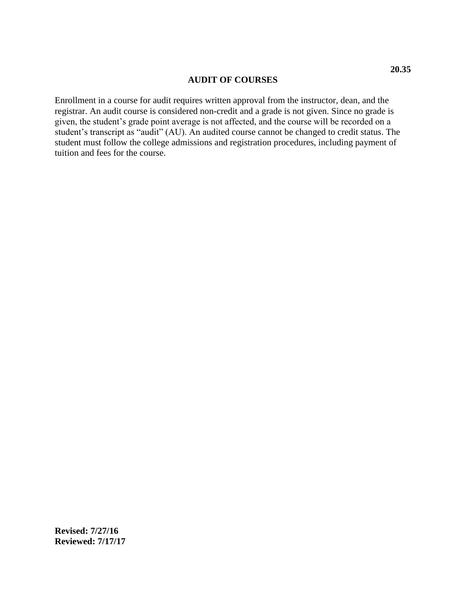#### **AUDIT OF COURSES**

Enrollment in a course for audit requires written approval from the instructor, dean, and the registrar. An audit course is considered non-credit and a grade is not given. Since no grade is given, the student's grade point average is not affected, and the course will be recorded on a student's transcript as "audit" (AU). An audited course cannot be changed to credit status. The student must follow the college admissions and registration procedures, including payment of tuition and fees for the course.

**Revised: 7/27/16 Reviewed: 7/17/17**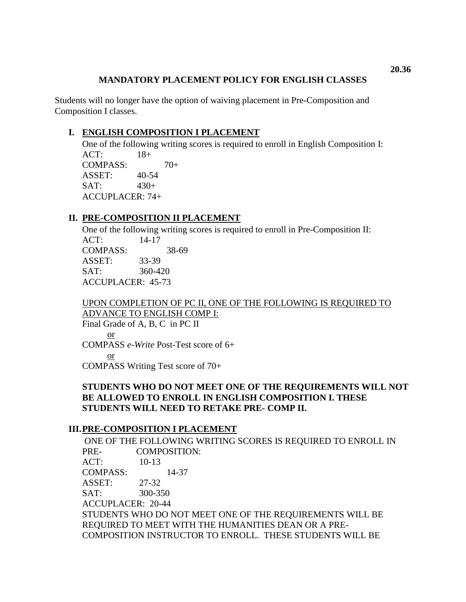## **MANDATORY PLACEMENT POLICY FOR ENGLISH CLASSES**

Students will no longer have the option of waiving placement in Pre-Composition and Composition I classes.

# **I. ENGLISH COMPOSITION I PLACEMENT**

One of the following writing scores is required to enroll in English Composition I: ACT: 18+ COMPASS:  $70+$ ASSET: 40-54  $SAT: 430+$ ACCUPLACER: 74+

# **II. PRE-COMPOSITION II PLACEMENT**

One of the following writing scores is required to enroll in Pre-Composition II: ACT: 14-17 COMPASS: 38-69 ASSET: 33-39 SAT: 360-420 ACCUPLACER: 45-73

UPON COMPLETION OF PC II, ONE OF THE FOLLOWING IS REQUIRED TO ADVANCE TO ENGLISH COMP I:

Final Grade of A, B, C in PC II or COMPASS *e-Write* Post-Test score of 6+ or

COMPASS Writing Test score of 70+

# **STUDENTS WHO DO NOT MEET ONE OF THE REQUIREMENTS WILL NOT BE ALLOWED TO ENROLL IN ENGLISH COMPOSITION I. THESE STUDENTS WILL NEED TO RETAKE PRE- COMP II.**

## **III.PRE-COMPOSITION I PLACEMENT**

ONE OF THE FOLLOWING WRITING SCORES IS REQUIRED TO ENROLL IN PRE- COMPOSITION:  $ACT: 10-13$ COMPASS: 14-37 ASSET: 27-32 SAT: 300-350 ACCUPLACER: 20-44 STUDENTS WHO DO NOT MEET ONE OF THE REQUIREMENTS WILL BE REQUIRED TO MEET WITH THE HUMANITIES DEAN OR A PRE-COMPOSITION INSTRUCTOR TO ENROLL. THESE STUDENTS WILL BE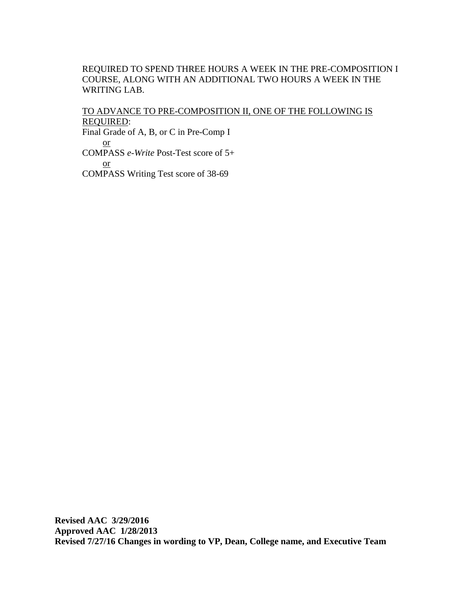## REQUIRED TO SPEND THREE HOURS A WEEK IN THE PRE-COMPOSITION I COURSE, ALONG WITH AN ADDITIONAL TWO HOURS A WEEK IN THE WRITING LAB.

# TO ADVANCE TO PRE-COMPOSITION II, ONE OF THE FOLLOWING IS REQUIRED: Final Grade of A, B, or C in Pre-Comp I

or COMPASS *e-Write* Post-Test score of 5+ or COMPASS Writing Test score of 38-69

**Revised AAC 3/29/2016 Approved AAC 1/28/2013 Revised 7/27/16 Changes in wording to VP, Dean, College name, and Executive Team**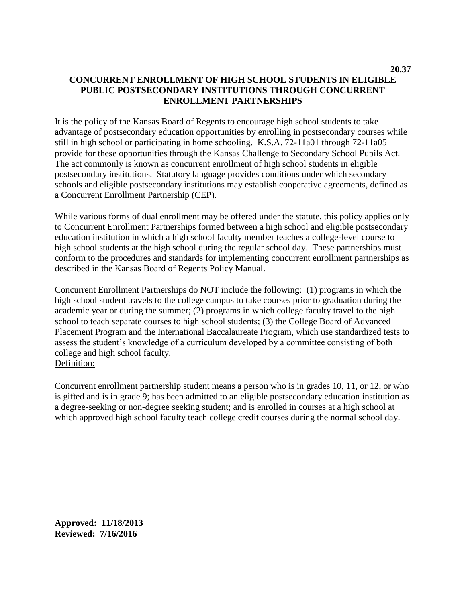It is the policy of the Kansas Board of Regents to encourage high school students to take advantage of postsecondary education opportunities by enrolling in postsecondary courses while still in high school or participating in home schooling. K.S.A. 72-11a01 through 72-11a05 provide for these opportunities through the Kansas Challenge to Secondary School Pupils Act. The act commonly is known as concurrent enrollment of high school students in eligible postsecondary institutions. Statutory language provides conditions under which secondary schools and eligible postsecondary institutions may establish cooperative agreements, defined as a Concurrent Enrollment Partnership (CEP).

While various forms of dual enrollment may be offered under the statute, this policy applies only to Concurrent Enrollment Partnerships formed between a high school and eligible postsecondary education institution in which a high school faculty member teaches a college-level course to high school students at the high school during the regular school day. These partnerships must conform to the procedures and standards for implementing concurrent enrollment partnerships as described in the Kansas Board of Regents Policy Manual.

Concurrent Enrollment Partnerships do NOT include the following: (1) programs in which the high school student travels to the college campus to take courses prior to graduation during the academic year or during the summer;  $(2)$  programs in which college faculty travel to the high school to teach separate courses to high school students; (3) the College Board of Advanced Placement Program and the International Baccalaureate Program, which use standardized tests to assess the student's knowledge of a curriculum developed by a committee consisting of both college and high school faculty. Definition:

Concurrent enrollment partnership student means a person who is in grades 10, 11, or 12, or who is gifted and is in grade 9; has been admitted to an eligible postsecondary education institution as a degree-seeking or non-degree seeking student; and is enrolled in courses at a high school at which approved high school faculty teach college credit courses during the normal school day.

**Approved: 11/18/2013 Reviewed: 7/16/2016**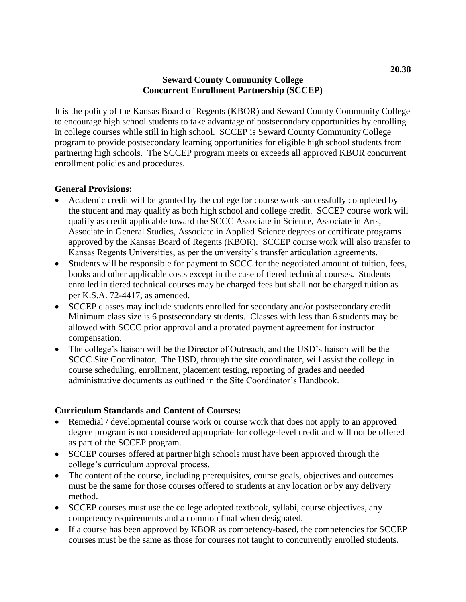## **Seward County Community College Concurrent Enrollment Partnership (SCCEP)**

It is the policy of the Kansas Board of Regents (KBOR) and Seward County Community College to encourage high school students to take advantage of postsecondary opportunities by enrolling in college courses while still in high school. SCCEP is Seward County Community College program to provide postsecondary learning opportunities for eligible high school students from partnering high schools. The SCCEP program meets or exceeds all approved KBOR concurrent enrollment policies and procedures.

### **General Provisions:**

- Academic credit will be granted by the college for course work successfully completed by the student and may qualify as both high school and college credit. SCCEP course work will qualify as credit applicable toward the SCCC Associate in Science, Associate in Arts, Associate in General Studies, Associate in Applied Science degrees or certificate programs approved by the Kansas Board of Regents (KBOR). SCCEP course work will also transfer to Kansas Regents Universities, as per the university's transfer articulation agreements.
- Students will be responsible for payment to SCCC for the negotiated amount of tuition, fees, books and other applicable costs except in the case of tiered technical courses. Students enrolled in tiered technical courses may be charged fees but shall not be charged tuition as per K.S.A. 72-4417, as amended.
- SCCEP classes may include students enrolled for secondary and/or postsecondary credit. Minimum class size is 6 postsecondary students. Classes with less than 6 students may be allowed with SCCC prior approval and a prorated payment agreement for instructor compensation.
- The college's liaison will be the Director of Outreach, and the USD's liaison will be the SCCC Site Coordinator. The USD, through the site coordinator, will assist the college in course scheduling, enrollment, placement testing, reporting of grades and needed administrative documents as outlined in the Site Coordinator's Handbook.

## **Curriculum Standards and Content of Courses:**

- Remedial / developmental course work or course work that does not apply to an approved degree program is not considered appropriate for college-level credit and will not be offered as part of the SCCEP program.
- SCCEP courses offered at partner high schools must have been approved through the college's curriculum approval process.
- The content of the course, including prerequisites, course goals, objectives and outcomes must be the same for those courses offered to students at any location or by any delivery method.
- SCCEP courses must use the college adopted textbook, syllabi, course objectives, any competency requirements and a common final when designated.
- If a course has been approved by KBOR as competency-based, the competencies for SCCEP courses must be the same as those for courses not taught to concurrently enrolled students.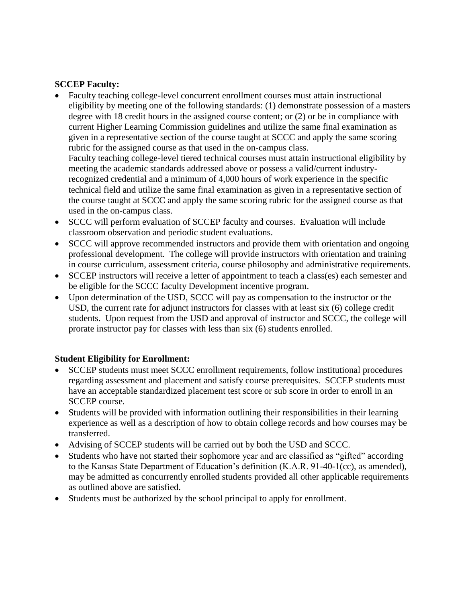# **SCCEP Faculty:**

- Faculty teaching college-level concurrent enrollment courses must attain instructional eligibility by meeting one of the following standards: (1) demonstrate possession of a masters degree with 18 credit hours in the assigned course content; or (2) or be in compliance with current Higher Learning Commission guidelines and utilize the same final examination as given in a representative section of the course taught at SCCC and apply the same scoring rubric for the assigned course as that used in the on-campus class. Faculty teaching college-level tiered technical courses must attain instructional eligibility by meeting the academic standards addressed above or possess a valid/current industryrecognized credential and a minimum of 4,000 hours of work experience in the specific technical field and utilize the same final examination as given in a representative section of the course taught at SCCC and apply the same scoring rubric for the assigned course as that used in the on-campus class.
- SCCC will perform evaluation of SCCEP faculty and courses. Evaluation will include classroom observation and periodic student evaluations.
- SCCC will approve recommended instructors and provide them with orientation and ongoing professional development. The college will provide instructors with orientation and training in course curriculum, assessment criteria, course philosophy and administrative requirements.
- SCCEP instructors will receive a letter of appointment to teach a class(es) each semester and be eligible for the SCCC faculty Development incentive program.
- Upon determination of the USD, SCCC will pay as compensation to the instructor or the USD, the current rate for adjunct instructors for classes with at least six (6) college credit students. Upon request from the USD and approval of instructor and SCCC, the college will prorate instructor pay for classes with less than six (6) students enrolled.

# **Student Eligibility for Enrollment:**

- SCCEP students must meet SCCC enrollment requirements, follow institutional procedures regarding assessment and placement and satisfy course prerequisites. SCCEP students must have an acceptable standardized placement test score or sub score in order to enroll in an SCCEP course.
- Students will be provided with information outlining their responsibilities in their learning experience as well as a description of how to obtain college records and how courses may be transferred.
- Advising of SCCEP students will be carried out by both the USD and SCCC.
- Students who have not started their sophomore year and are classified as "gifted" according to the Kansas State Department of Education's definition (K.A.R. 91-40-1(cc), as amended), may be admitted as concurrently enrolled students provided all other applicable requirements as outlined above are satisfied.
- Students must be authorized by the school principal to apply for enrollment.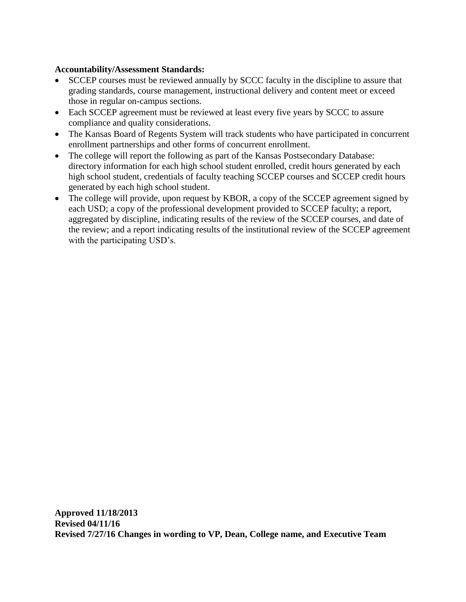## **Accountability/Assessment Standards:**

- SCCEP courses must be reviewed annually by SCCC faculty in the discipline to assure that grading standards, course management, instructional delivery and content meet or exceed those in regular on-campus sections.
- Each SCCEP agreement must be reviewed at least every five years by SCCC to assure compliance and quality considerations.
- The Kansas Board of Regents System will track students who have participated in concurrent enrollment partnerships and other forms of concurrent enrollment.
- The college will report the following as part of the Kansas Postsecondary Database: directory information for each high school student enrolled, credit hours generated by each high school student, credentials of faculty teaching SCCEP courses and SCCEP credit hours generated by each high school student.
- The college will provide, upon request by KBOR, a copy of the SCCEP agreement signed by each USD; a copy of the professional development provided to SCCEP faculty; a report, aggregated by discipline, indicating results of the review of the SCCEP courses, and date of the review; and a report indicating results of the institutional review of the SCCEP agreement with the participating USD's.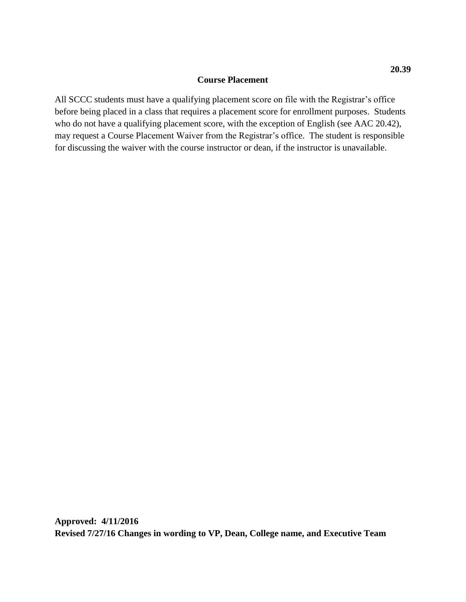#### **Course Placement**

All SCCC students must have a qualifying placement score on file with the Registrar's office before being placed in a class that requires a placement score for enrollment purposes. Students who do not have a qualifying placement score, with the exception of English (see AAC 20.42), may request a Course Placement Waiver from the Registrar's office. The student is responsible for discussing the waiver with the course instructor or dean, if the instructor is unavailable.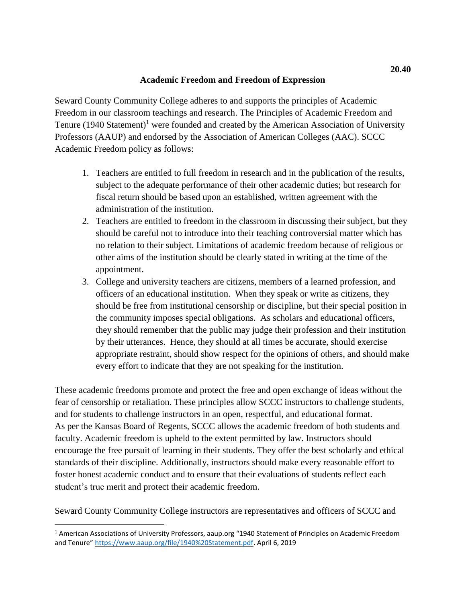## **Academic Freedom and Freedom of Expression**

Seward County Community College adheres to and supports the principles of Academic Freedom in our classroom teachings and research. The Principles of Academic Freedom and Tenure  $(1940 \text{ Statement})^1$  were founded and created by the American Association of University Professors (AAUP) and endorsed by the Association of American Colleges (AAC). SCCC Academic Freedom policy as follows:

- 1. Teachers are entitled to full freedom in research and in the publication of the results, subject to the adequate performance of their other academic duties; but research for fiscal return should be based upon an established, written agreement with the administration of the institution.
- 2. Teachers are entitled to freedom in the classroom in discussing their subject, but they should be careful not to introduce into their teaching controversial matter which has no relation to their subject. Limitations of academic freedom because of religious or other aims of the institution should be clearly stated in writing at the time of the appointment.
- 3. College and university teachers are citizens, members of a learned profession, and officers of an educational institution. When they speak or write as citizens, they should be free from institutional censorship or discipline, but their special position in the community imposes special obligations. As scholars and educational officers, they should remember that the public may judge their profession and their institution by their utterances. Hence, they should at all times be accurate, should exercise appropriate restraint, should show respect for the opinions of others, and should make every effort to indicate that they are not speaking for the institution.

These academic freedoms promote and protect the free and open exchange of ideas without the fear of censorship or retaliation. These principles allow SCCC instructors to challenge students, and for students to challenge instructors in an open, respectful, and educational format. As per the Kansas Board of Regents, SCCC allows the academic freedom of both students and faculty. Academic freedom is upheld to the extent permitted by law. Instructors should encourage the free pursuit of learning in their students. They offer the best scholarly and ethical standards of their discipline. Additionally, instructors should make every reasonable effort to foster honest academic conduct and to ensure that their evaluations of students reflect each student's true merit and protect their academic freedom.

Seward County Community College instructors are representatives and officers of SCCC and

L

<sup>1</sup> American Associations of University Professors, aaup.org "1940 Statement of Principles on Academic Freedom and Tenure" [https://www.aaup.org/file/1940%20Statement.pdf.](https://www.aaup.org/file/1940%20Statement.pdf) April 6, 2019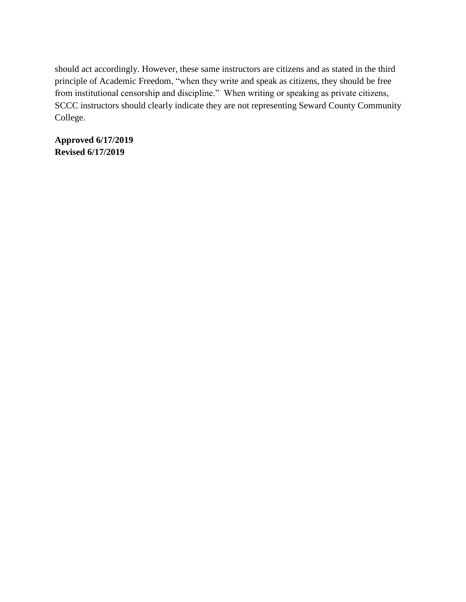should act accordingly. However, these same instructors are citizens and as stated in the third principle of Academic Freedom, "when they write and speak as citizens, they should be free from institutional censorship and discipline." When writing or speaking as private citizens, SCCC instructors should clearly indicate they are not representing Seward County Community College.

**Approved 6/17/2019 Revised 6/17/2019**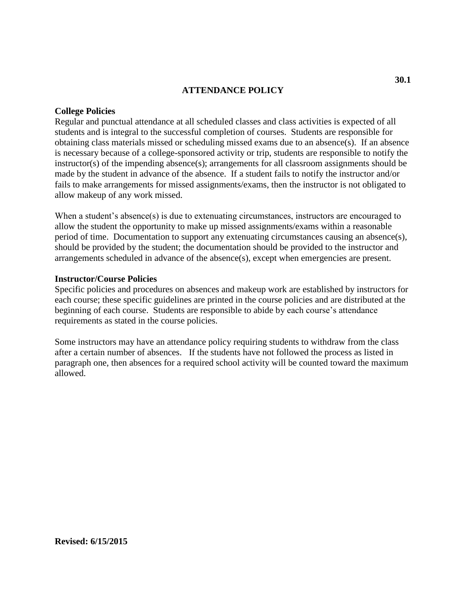#### **ATTENDANCE POLICY**

#### **College Policies**

Regular and punctual attendance at all scheduled classes and class activities is expected of all students and is integral to the successful completion of courses. Students are responsible for obtaining class materials missed or scheduling missed exams due to an absence(s). If an absence is necessary because of a college-sponsored activity or trip, students are responsible to notify the instructor(s) of the impending absence(s); arrangements for all classroom assignments should be made by the student in advance of the absence. If a student fails to notify the instructor and/or fails to make arrangements for missed assignments/exams, then the instructor is not obligated to allow makeup of any work missed.

When a student's absence(s) is due to extenuating circumstances, instructors are encouraged to allow the student the opportunity to make up missed assignments/exams within a reasonable period of time. Documentation to support any extenuating circumstances causing an absence(s), should be provided by the student; the documentation should be provided to the instructor and arrangements scheduled in advance of the absence(s), except when emergencies are present.

#### **Instructor/Course Policies**

Specific policies and procedures on absences and makeup work are established by instructors for each course; these specific guidelines are printed in the course policies and are distributed at the beginning of each course. Students are responsible to abide by each course's attendance requirements as stated in the course policies.

Some instructors may have an attendance policy requiring students to withdraw from the class after a certain number of absences. If the students have not followed the process as listed in paragraph one, then absences for a required school activity will be counted toward the maximum allowed.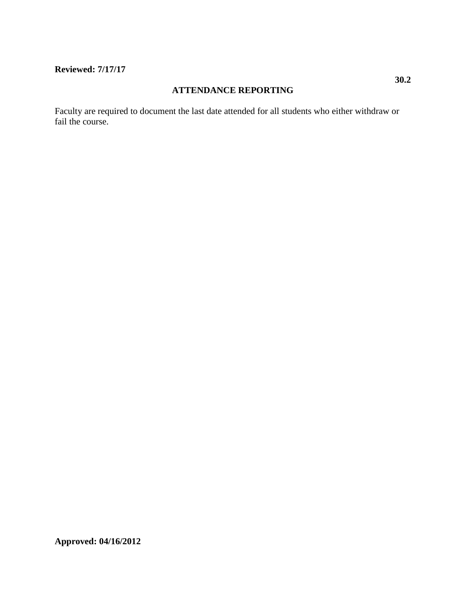## **Reviewed: 7/17/17**

### **ATTENDANCE REPORTING**

Faculty are required to document the last date attended for all students who either withdraw or fail the course.

**Approved: 04/16/2012**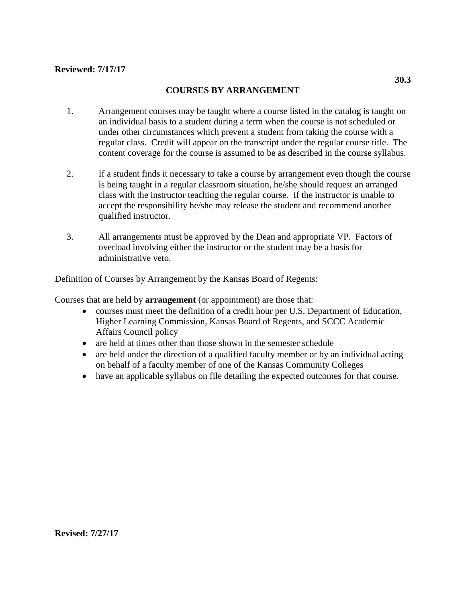## **Reviewed: 7/17/17**

## **COURSES BY ARRANGEMENT**

- 1. Arrangement courses may be taught where a course listed in the catalog is taught on an individual basis to a student during a term when the course is not scheduled or under other circumstances which prevent a student from taking the course with a regular class. Credit will appear on the transcript under the regular course title. The content coverage for the course is assumed to be as described in the course syllabus.
- 2. If a student finds it necessary to take a course by arrangement even though the course is being taught in a regular classroom situation, he/she should request an arranged class with the instructor teaching the regular course. If the instructor is unable to accept the responsibility he/she may release the student and recommend another qualified instructor.
- 3. All arrangements must be approved by the Dean and appropriate VP. Factors of overload involving either the instructor or the student may be a basis for administrative veto.

Definition of Courses by Arrangement by the Kansas Board of Regents:

Courses that are held by **arrangement** (or appointment) are those that:

- courses must meet the definition of a credit hour per U.S. Department of Education, Higher Learning Commission, Kansas Board of Regents, and SCCC Academic Affairs Council policy
- are held at times other than those shown in the semester schedule
- are held under the direction of a qualified faculty member or by an individual acting on behalf of a faculty member of one of the Kansas Community Colleges
- have an applicable syllabus on file detailing the expected outcomes for that course.

**Revised: 7/27/17**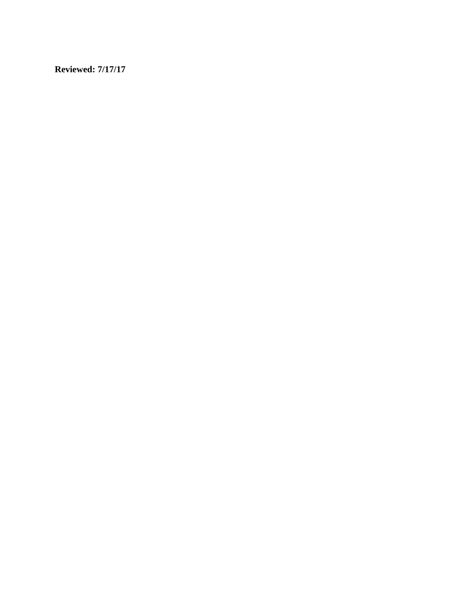**Reviewed: 7/17/17**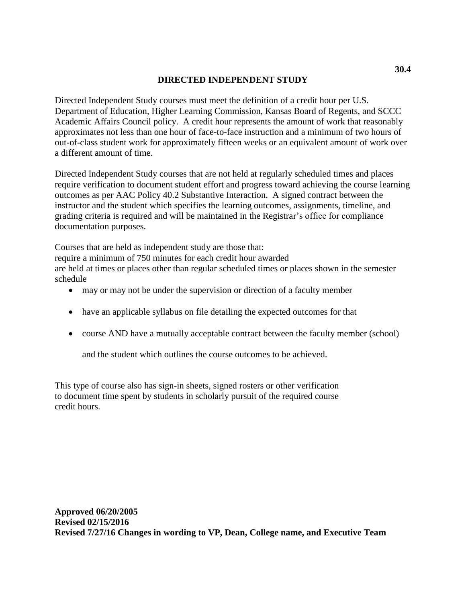## **DIRECTED INDEPENDENT STUDY**

Directed Independent Study courses must meet the definition of a credit hour per U.S. Department of Education, Higher Learning Commission, Kansas Board of Regents, and SCCC Academic Affairs Council policy. A credit hour represents the amount of work that reasonably approximates not less than one hour of face-to-face instruction and a minimum of two hours of out-of-class student work for approximately fifteen weeks or an equivalent amount of work over a different amount of time.

Directed Independent Study courses that are not held at regularly scheduled times and places require verification to document student effort and progress toward achieving the course learning outcomes as per AAC Policy 40.2 Substantive Interaction. A signed contract between the instructor and the student which specifies the learning outcomes, assignments, timeline, and grading criteria is required and will be maintained in the Registrar's office for compliance documentation purposes.

Courses that are held as independent study are those that:

require a minimum of 750 minutes for each credit hour awarded

are held at times or places other than regular scheduled times or places shown in the semester schedule

- may or may not be under the supervision or direction of a faculty member
- have an applicable syllabus on file detailing the expected outcomes for that
- course AND have a mutually acceptable contract between the faculty member (school)

and the student which outlines the course outcomes to be achieved.

This type of course also has sign-in sheets, signed rosters or other verification to document time spent by students in scholarly pursuit of the required course credit hours.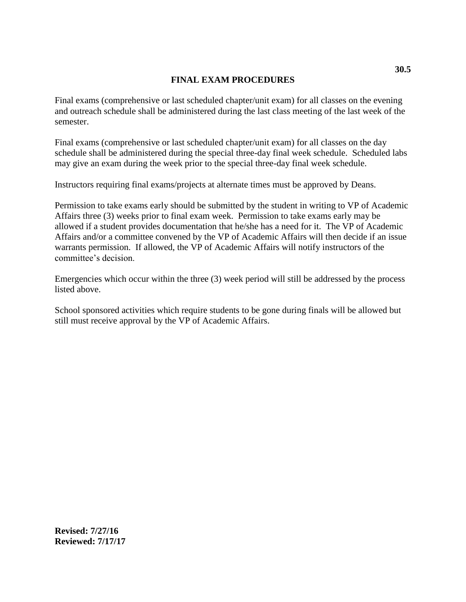# **FINAL EXAM PROCEDURES**

Final exams (comprehensive or last scheduled chapter/unit exam) for all classes on the evening and outreach schedule shall be administered during the last class meeting of the last week of the semester.

Final exams (comprehensive or last scheduled chapter/unit exam) for all classes on the day schedule shall be administered during the special three-day final week schedule. Scheduled labs may give an exam during the week prior to the special three-day final week schedule.

Instructors requiring final exams/projects at alternate times must be approved by Deans.

Permission to take exams early should be submitted by the student in writing to VP of Academic Affairs three (3) weeks prior to final exam week. Permission to take exams early may be allowed if a student provides documentation that he/she has a need for it. The VP of Academic Affairs and/or a committee convened by the VP of Academic Affairs will then decide if an issue warrants permission. If allowed, the VP of Academic Affairs will notify instructors of the committee's decision.

Emergencies which occur within the three (3) week period will still be addressed by the process listed above.

School sponsored activities which require students to be gone during finals will be allowed but still must receive approval by the VP of Academic Affairs.

**Revised: 7/27/16 Reviewed: 7/17/17**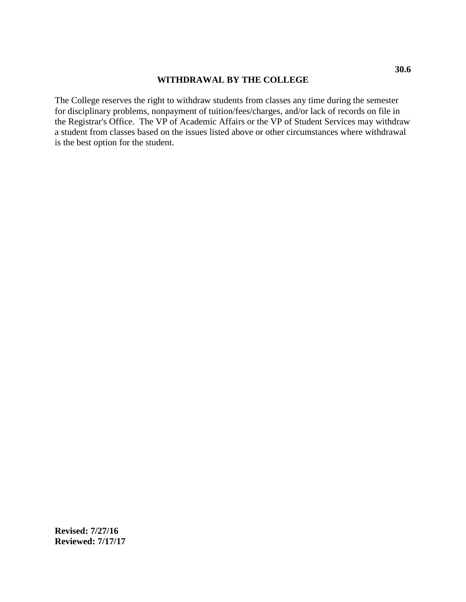### **WITHDRAWAL BY THE COLLEGE**

The College reserves the right to withdraw students from classes any time during the semester for disciplinary problems, nonpayment of tuition/fees/charges, and/or lack of records on file in the Registrar's Office. The VP of Academic Affairs or the VP of Student Services may withdraw a student from classes based on the issues listed above or other circumstances where withdrawal is the best option for the student.

**Revised: 7/27/16 Reviewed: 7/17/17**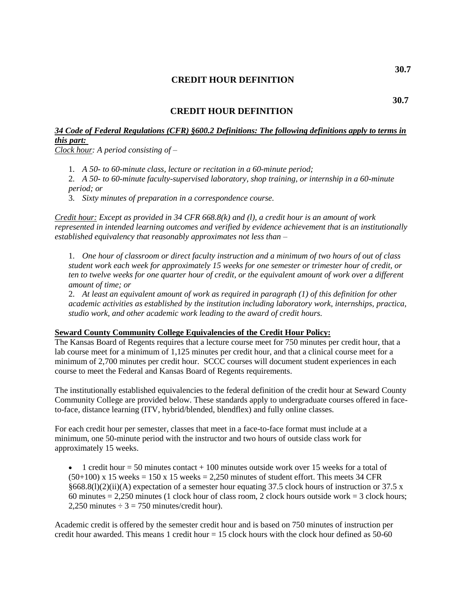### **CREDIT HOUR DEFINITION**

#### **CREDIT HOUR DEFINITION**

# *34 Code of Federal Regulations (CFR) §600.2 Definitions: The following definitions apply to terms in this part:*

*Clock hour: A period consisting of –*

1. *A 50- to 60-minute class, lecture or recitation in a 60-minute period;*

2. *A 50- to 60-minute faculty-supervised laboratory, shop training, or internship in a 60-minute period; or*

3. *Sixty minutes of preparation in a correspondence course.*

*Credit hour: Except as provided in 34 CFR 668.8(k) and (l), a credit hour is an amount of work represented in intended learning outcomes and verified by evidence achievement that is an institutionally established equivalency that reasonably approximates not less than –*

1. *One hour of classroom or direct faculty instruction and a minimum of two hours of out of class student work each week for approximately 15 weeks for one semester or trimester hour of credit, or ten to twelve weeks for one quarter hour of credit, or the equivalent amount of work over a different amount of time; or*

2. *At least an equivalent amount of work as required in paragraph (1) of this definition for other academic activities as established by the institution including laboratory work, internships, practica, studio work, and other academic work leading to the award of credit hours.*

# **Seward County Community College Equivalencies of the Credit Hour Policy:**

The Kansas Board of Regents requires that a lecture course meet for 750 minutes per credit hour, that a lab course meet for a minimum of 1,125 minutes per credit hour, and that a clinical course meet for a minimum of 2,700 minutes per credit hour. SCCC courses will document student experiences in each course to meet the Federal and Kansas Board of Regents requirements.

The institutionally established equivalencies to the federal definition of the credit hour at Seward County Community College are provided below. These standards apply to undergraduate courses offered in faceto-face, distance learning (ITV, hybrid/blended, blendflex) and fully online classes.

For each credit hour per semester, classes that meet in a face-to-face format must include at a minimum, one 50-minute period with the instructor and two hours of outside class work for approximately 15 weeks.

1 credit hour  $= 50$  minutes contact  $+ 100$  minutes outside work over 15 weeks for a total of  $(50+100)$  x 15 weeks = 150 x 15 weeks = 2,250 minutes of student effort. This meets 34 CFR  $§668.8(1)(2)(ii)$ (A) expectation of a semester hour equating 37.5 clock hours of instruction or 37.5 x 60 minutes  $= 2,250$  minutes (1 clock hour of class room, 2 clock hours outside work  $= 3$  clock hours; 2,250 minutes  $\div$  3 = 750 minutes/credit hour).

Academic credit is offered by the semester credit hour and is based on 750 minutes of instruction per credit hour awarded. This means 1 credit hour = 15 clock hours with the clock hour defined as 50-60

**30.7**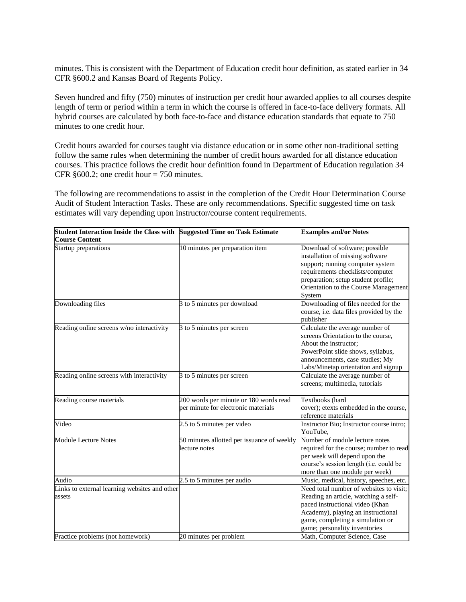minutes. This is consistent with the Department of Education credit hour definition, as stated earlier in 34 CFR §600.2 and Kansas Board of Regents Policy.

Seven hundred and fifty (750) minutes of instruction per credit hour awarded applies to all courses despite length of term or period within a term in which the course is offered in face-to-face delivery formats. All hybrid courses are calculated by both face-to-face and distance education standards that equate to 750 minutes to one credit hour.

Credit hours awarded for courses taught via distance education or in some other non-traditional setting follow the same rules when determining the number of credit hours awarded for all distance education courses. This practice follows the credit hour definition found in Department of Education regulation 34 CFR  $§600.2$ ; one credit hour = 750 minutes.

The following are recommendations to assist in the completion of the Credit Hour Determination Course Audit of Student Interaction Tasks. These are only recommendations. Specific suggested time on task estimates will vary depending upon instructor/course content requirements.

| Student Interaction Inside the Class with Suggested Time on Task Estimate |                                                                               | <b>Examples and/or Notes</b>                                                                                                                                                                                                        |
|---------------------------------------------------------------------------|-------------------------------------------------------------------------------|-------------------------------------------------------------------------------------------------------------------------------------------------------------------------------------------------------------------------------------|
| <b>Course Content</b>                                                     |                                                                               |                                                                                                                                                                                                                                     |
| Startup preparations                                                      | 10 minutes per preparation item                                               | Download of software; possible<br>installation of missing software<br>support; running computer system<br>requirements checklists/computer<br>preparation; setup student profile;<br>Orientation to the Course Management<br>System |
| Downloading files                                                         | 3 to 5 minutes per download                                                   | Downloading of files needed for the<br>course, i.e. data files provided by the<br>publisher                                                                                                                                         |
| Reading online screens w/no interactivity                                 | 3 to 5 minutes per screen                                                     | Calculate the average number of<br>screens Orientation to the course,<br>About the instructor;<br>PowerPoint slide shows, syllabus,<br>announcements, case studies; My<br>Labs/Minetap orientation and signup                       |
| Reading online screens with interactivity                                 | 3 to 5 minutes per screen                                                     | Calculate the average number of<br>screens; multimedia, tutorials                                                                                                                                                                   |
| Reading course materials                                                  | 200 words per minute or 180 words read<br>per minute for electronic materials | Textbooks (hard<br>cover); etexts embedded in the course,<br>reference materials                                                                                                                                                    |
| Video                                                                     | 2.5 to 5 minutes per video                                                    | Instructor Bio; Instructor course intro;<br>YouTube,                                                                                                                                                                                |
| <b>Module Lecture Notes</b>                                               | 50 minutes allotted per issuance of weekly<br>lecture notes                   | Number of module lecture notes<br>required for the course; number to read<br>per week will depend upon the<br>course's session length (i.e. could be<br>more than one module per week)                                              |
| Audio                                                                     | 2.5 to 5 minutes per audio                                                    | Music, medical, history, speeches, etc.                                                                                                                                                                                             |
| Links to external learning websites and other<br>assets                   |                                                                               | Need total number of websites to visit;<br>Reading an article, watching a self-<br>paced instructional video (Khan<br>Academy), playing an instructional<br>game, completing a simulation or<br>game; personality inventories       |
| Practice problems (not homework)                                          | 20 minutes per problem                                                        | Math, Computer Science, Case                                                                                                                                                                                                        |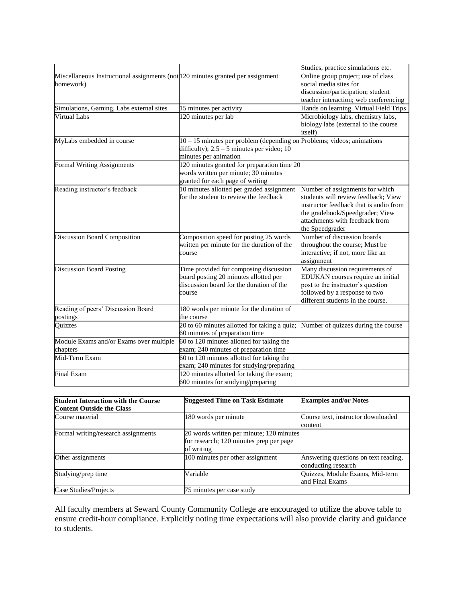|                                                                                              |                                                                                                                                                   | Studies, practice simulations etc.                                                                                                                                                                       |
|----------------------------------------------------------------------------------------------|---------------------------------------------------------------------------------------------------------------------------------------------------|----------------------------------------------------------------------------------------------------------------------------------------------------------------------------------------------------------|
| Miscellaneous Instructional assignments (not 120 minutes granted per assignment<br>homework) |                                                                                                                                                   | Online group project; use of class<br>social media sites for<br>discussion/participation; student<br>teacher interaction; web conferencing                                                               |
| Simulations, Gaming, Labs external sites                                                     | 15 minutes per activity                                                                                                                           | Hands on learning. Virtual Field Trips                                                                                                                                                                   |
| <b>Virtual Labs</b>                                                                          | 120 minutes per lab                                                                                                                               | Microbiology labs, chemistry labs,<br>biology labs (external to the course<br>itself)                                                                                                                    |
| MyLabs embedded in course                                                                    | $10 - 15$ minutes per problem (depending on Problems; videos; animations<br>difficulty); $2.5 - 5$ minutes per video; 10<br>minutes per animation |                                                                                                                                                                                                          |
| <b>Formal Writing Assignments</b>                                                            | 120 minutes granted for preparation time 20<br>words written per minute; 30 minutes<br>granted for each page of writing                           |                                                                                                                                                                                                          |
| Reading instructor's feedback                                                                | 10 minutes allotted per graded assignment<br>for the student to review the feedback                                                               | Number of assignments for which<br>students will review feedback; View<br>instructor feedback that is audio from<br>the gradebook/Speedgrader; View<br>attachments with feedback from<br>the Speedgrader |
| <b>Discussion Board Composition</b>                                                          | Composition speed for posting 25 words<br>written per minute for the duration of the<br>course                                                    | Number of discussion boards<br>throughout the course; Must be<br>interactive; if not, more like an<br>assignment                                                                                         |
| <b>Discussion Board Posting</b>                                                              | Time provided for composing discussion<br>board posting 20 minutes allotted per<br>discussion board for the duration of the<br>course             | Many discussion requirements of<br>EDUKAN courses require an initial<br>post to the instructor's question<br>followed by a response to two<br>different students in the course.                          |
| Reading of peers' Discussion Board<br>postings                                               | 180 words per minute for the duration of<br>the course                                                                                            |                                                                                                                                                                                                          |
| Quizzes                                                                                      | 20 to 60 minutes allotted for taking a quiz;<br>60 minutes of preparation time                                                                    | Number of quizzes during the course                                                                                                                                                                      |
| Module Exams and/or Exams over multiple<br>chapters                                          | 60 to 120 minutes allotted for taking the<br>exam; 240 minutes of preparation time                                                                |                                                                                                                                                                                                          |
| Mid-Term Exam                                                                                | 60 to 120 minutes allotted for taking the<br>exam; 240 minutes for studying/preparing                                                             |                                                                                                                                                                                                          |
| <b>Final Exam</b>                                                                            | 120 minutes allotted for taking the exam;<br>600 minutes for studying/preparing                                                                   |                                                                                                                                                                                                          |

| <b>Student Interaction with the Course</b><br><b>Content Outside the Class</b> | <b>Suggested Time on Task Estimate</b>                                                            | <b>Examples and/or Notes</b>                                |
|--------------------------------------------------------------------------------|---------------------------------------------------------------------------------------------------|-------------------------------------------------------------|
| Course material                                                                | 180 words per minute                                                                              | Course text, instructor downloaded<br>content               |
| Formal writing/research assignments                                            | 20 words written per minute; 120 minutes<br>for research; 120 minutes prep per page<br>of writing |                                                             |
| Other assignments                                                              | 100 minutes per other assignment                                                                  | Answering questions on text reading,<br>conducting research |
| Studying/prep time                                                             | Variable                                                                                          | Quizzes, Module Exams, Mid-term<br>and Final Exams          |
| Case Studies/Projects                                                          | 75 minutes per case study                                                                         |                                                             |

All faculty members at Seward County Community College are encouraged to utilize the above table to ensure credit-hour compliance. Explicitly noting time expectations will also provide clarity and guidance to students.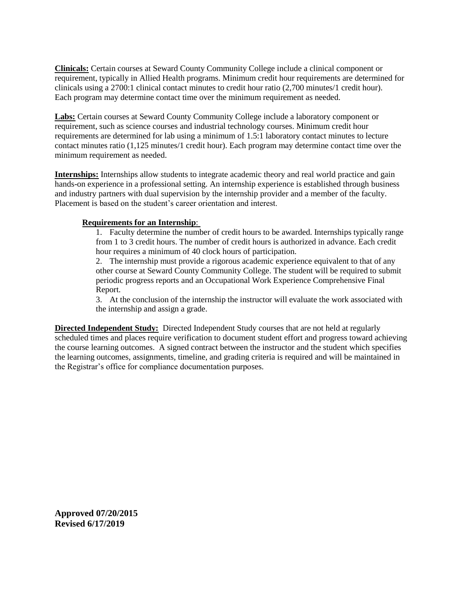**Clinicals:** Certain courses at Seward County Community College include a clinical component or requirement, typically in Allied Health programs. Minimum credit hour requirements are determined for clinicals using a 2700:1 clinical contact minutes to credit hour ratio (2,700 minutes/1 credit hour). Each program may determine contact time over the minimum requirement as needed.

**Labs:** Certain courses at Seward County Community College include a laboratory component or requirement, such as science courses and industrial technology courses. Minimum credit hour requirements are determined for lab using a minimum of 1.5:1 laboratory contact minutes to lecture contact minutes ratio (1,125 minutes/1 credit hour). Each program may determine contact time over the minimum requirement as needed.

**Internships:** Internships allow students to integrate academic theory and real world practice and gain hands-on experience in a professional setting. An internship experience is established through business and industry partners with dual supervision by the internship provider and a member of the faculty. Placement is based on the student's career orientation and interest.

#### **Requirements for an Internship**:

1. Faculty determine the number of credit hours to be awarded. Internships typically range from 1 to 3 credit hours. The number of credit hours is authorized in advance. Each credit hour requires a minimum of 40 clock hours of participation.

2. The internship must provide a rigorous academic experience equivalent to that of any other course at Seward County Community College. The student will be required to submit periodic progress reports and an Occupational Work Experience Comprehensive Final Report.

3. At the conclusion of the internship the instructor will evaluate the work associated with the internship and assign a grade.

**Directed Independent Study:** Directed Independent Study courses that are not held at regularly scheduled times and places require verification to document student effort and progress toward achieving the course learning outcomes. A signed contract between the instructor and the student which specifies the learning outcomes, assignments, timeline, and grading criteria is required and will be maintained in the Registrar's office for compliance documentation purposes.

**Approved 07/20/2015 Revised 6/17/2019**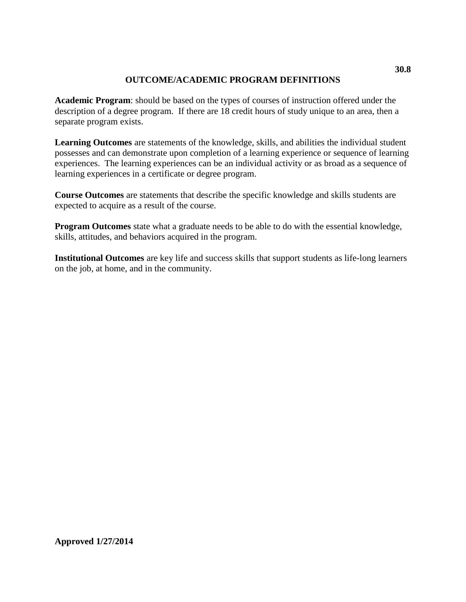# **OUTCOME/ACADEMIC PROGRAM DEFINITIONS**

**Academic Program**: should be based on the types of courses of instruction offered under the description of a degree program. If there are 18 credit hours of study unique to an area, then a separate program exists.

**Learning Outcomes** are statements of the knowledge, skills, and abilities the individual student possesses and can demonstrate upon completion of a learning experience or sequence of learning experiences. The learning experiences can be an individual activity or as broad as a sequence of learning experiences in a certificate or degree program.

**Course Outcomes** are statements that describe the specific knowledge and skills students are expected to acquire as a result of the course.

**Program Outcomes** state what a graduate needs to be able to do with the essential knowledge, skills, attitudes, and behaviors acquired in the program.

**Institutional Outcomes** are key life and success skills that support students as life-long learners on the job, at home, and in the community.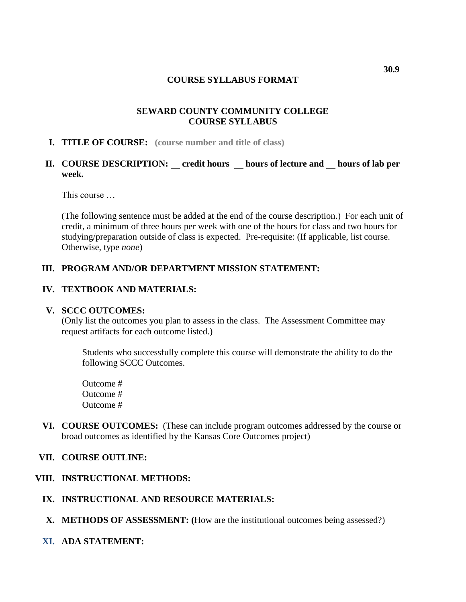### **COURSE SYLLABUS FORMAT**

# **SEWARD COUNTY COMMUNITY COLLEGE COURSE SYLLABUS**

#### **I. TITLE OF COURSE: (course number and title of class)**

# **II. COURSE DESCRIPTION: credit hours hours of lecture and hours of lab per week.**

This course

(The following sentence must be added at the end of the course description.) For each unit of credit, a minimum of three hours per week with one of the hours for class and two hours for studying/preparation outside of class is expected. Pre-requisite: (If applicable, list course. Otherwise, type *none*)

### **III. PROGRAM AND/OR DEPARTMENT MISSION STATEMENT:**

### **IV. TEXTBOOK AND MATERIALS:**

#### **V. SCCC OUTCOMES:**

(Only list the outcomes you plan to assess in the class. The Assessment Committee may request artifacts for each outcome listed.)

Students who successfully complete this course will demonstrate the ability to do the following SCCC Outcomes.

Outcome # Outcome # Outcome #

**VI. COURSE OUTCOMES:** (These can include program outcomes addressed by the course or broad outcomes as identified by the Kansas Core Outcomes project)

#### **VII. COURSE OUTLINE:**

# **VIII. INSTRUCTIONAL METHODS:**

- **IX. INSTRUCTIONAL AND RESOURCE MATERIALS:**
- **X. METHODS OF ASSESSMENT: (**How are the institutional outcomes being assessed?)
- **XI. ADA STATEMENT:**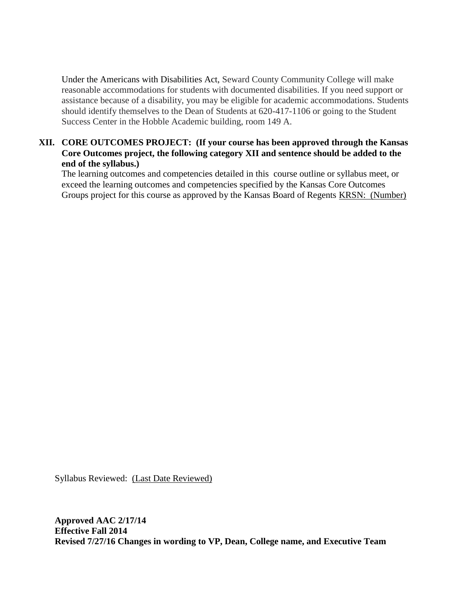Under the Americans with Disabilities Act, Seward County Community College will make reasonable accommodations for students with documented disabilities. If you need support or assistance because of a disability, you may be eligible for academic accommodations. Students should identify themselves to the Dean of Students at 620-417-1106 or going to the Student Success Center in the Hobble Academic building, room 149 A.

# **XII. CORE OUTCOMES PROJECT: (If your course has been approved through the Kansas Core Outcomes project, the following category XII and sentence should be added to the end of the syllabus.)**

The learning outcomes and competencies detailed in this course outline or syllabus meet, or exceed the learning outcomes and competencies specified by the Kansas Core Outcomes Groups project for this course as approved by the Kansas Board of Regents KRSN: (Number)

Syllabus Reviewed: (Last Date Reviewed)

**Approved AAC 2/17/14 Effective Fall 2014 Revised 7/27/16 Changes in wording to VP, Dean, College name, and Executive Team**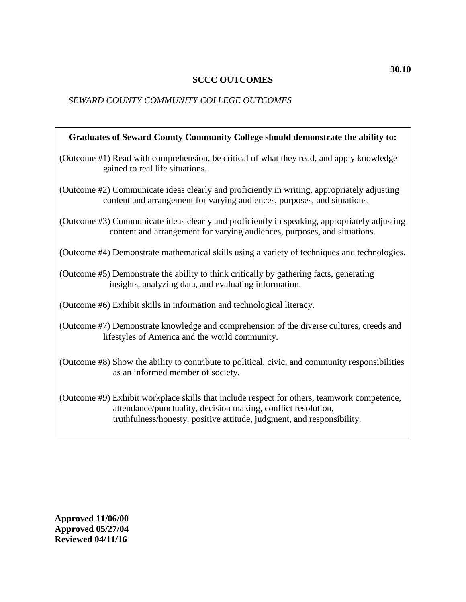# **SCCC OUTCOMES**

# *SEWARD COUNTY COMMUNITY COLLEGE OUTCOMES*

| Graduates of Seward County Community College should demonstrate the ability to:                                                                                                                                                        |
|----------------------------------------------------------------------------------------------------------------------------------------------------------------------------------------------------------------------------------------|
| (Outcome #1) Read with comprehension, be critical of what they read, and apply knowledge<br>gained to real life situations.                                                                                                            |
| (Outcome #2) Communicate ideas clearly and proficiently in writing, appropriately adjusting<br>content and arrangement for varying audiences, purposes, and situations.                                                                |
| (Outcome #3) Communicate ideas clearly and proficiently in speaking, appropriately adjusting<br>content and arrangement for varying audiences, purposes, and situations.                                                               |
| (Outcome #4) Demonstrate mathematical skills using a variety of techniques and technologies.                                                                                                                                           |
| (Outcome #5) Demonstrate the ability to think critically by gathering facts, generating<br>insights, analyzing data, and evaluating information.                                                                                       |
| (Outcome #6) Exhibit skills in information and technological literacy.                                                                                                                                                                 |
| (Outcome #7) Demonstrate knowledge and comprehension of the diverse cultures, creeds and<br>lifestyles of America and the world community.                                                                                             |
| (Outcome #8) Show the ability to contribute to political, civic, and community responsibilities<br>as an informed member of society.                                                                                                   |
| (Outcome #9) Exhibit workplace skills that include respect for others, teamwork competence,<br>attendance/punctuality, decision making, conflict resolution,<br>truthfulness/honesty, positive attitude, judgment, and responsibility. |

**Approved 11/06/00 Approved 05/27/04 Reviewed 04/11/16**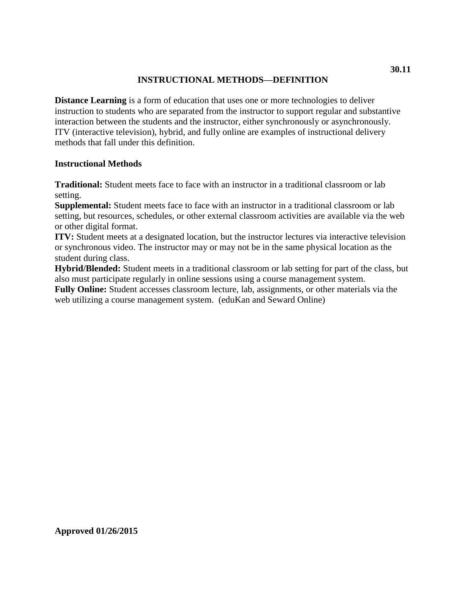# **INSTRUCTIONAL METHODS—DEFINITION**

**Distance Learning** is a form of education that uses one or more technologies to deliver instruction to students who are separated from the instructor to support regular and substantive interaction between the students and the instructor, either synchronously or asynchronously. ITV (interactive television), hybrid, and fully online are examples of instructional delivery methods that fall under this definition.

### **Instructional Methods**

**Traditional:** Student meets face to face with an instructor in a traditional classroom or lab setting.

**Supplemental:** Student meets face to face with an instructor in a traditional classroom or lab setting, but resources, schedules, or other external classroom activities are available via the web or other digital format.

**ITV:** Student meets at a designated location, but the instructor lectures via interactive television or synchronous video. The instructor may or may not be in the same physical location as the student during class.

**Hybrid/Blended:** Student meets in a traditional classroom or lab setting for part of the class, but also must participate regularly in online sessions using a course management system.

**Fully Online:** Student accesses classroom lecture, lab, assignments, or other materials via the web utilizing a course management system. (eduKan and Seward Online)

**Approved 01/26/2015**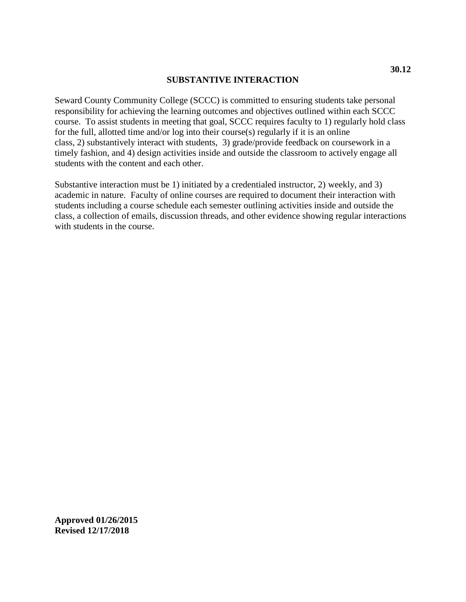#### **SUBSTANTIVE INTERACTION**

Seward County Community College (SCCC) is committed to ensuring students take personal responsibility for achieving the learning outcomes and objectives outlined within each SCCC course. To assist students in meeting that goal, SCCC requires faculty to 1) regularly hold class for the full, allotted time and/or log into their course(s) regularly if it is an online class, 2) substantively interact with students, 3) grade/provide feedback on coursework in a timely fashion, and 4) design activities inside and outside the classroom to actively engage all students with the content and each other.

Substantive interaction must be 1) initiated by a credentialed instructor, 2) weekly, and 3) academic in nature. Faculty of online courses are required to document their interaction with students including a course schedule each semester outlining activities inside and outside the class, a collection of emails, discussion threads, and other evidence showing regular interactions with students in the course.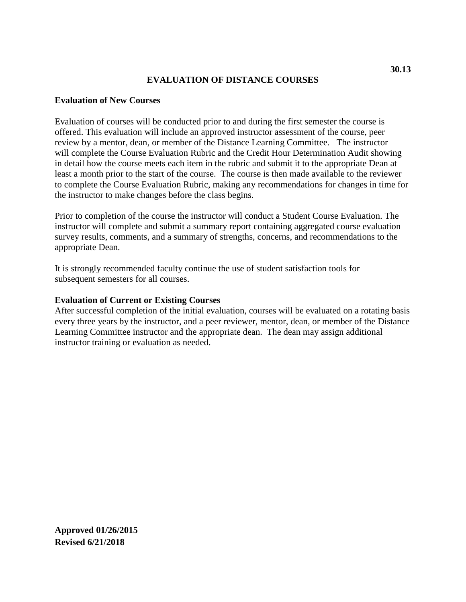# **EVALUATION OF DISTANCE COURSES**

### **Evaluation of New Courses**

Evaluation of courses will be conducted prior to and during the first semester the course is offered. This evaluation will include an approved instructor assessment of the course, peer review by a mentor, dean, or member of the Distance Learning Committee. The instructor will complete the Course Evaluation Rubric and the Credit Hour Determination Audit showing in detail how the course meets each item in the rubric and submit it to the appropriate Dean at least a month prior to the start of the course. The course is then made available to the reviewer to complete the Course Evaluation Rubric, making any recommendations for changes in time for the instructor to make changes before the class begins.

Prior to completion of the course the instructor will conduct a Student Course Evaluation. The instructor will complete and submit a summary report containing aggregated course evaluation survey results, comments, and a summary of strengths, concerns, and recommendations to the appropriate Dean.

It is strongly recommended faculty continue the use of student satisfaction tools for subsequent semesters for all courses.

#### **Evaluation of Current or Existing Courses**

After successful completion of the initial evaluation, courses will be evaluated on a rotating basis every three years by the instructor, and a peer reviewer, mentor, dean, or member of the Distance Learning Committee instructor and the appropriate dean. The dean may assign additional instructor training or evaluation as needed.

**30.13**

**Approved 01/26/2015 Revised 6/21/2018**